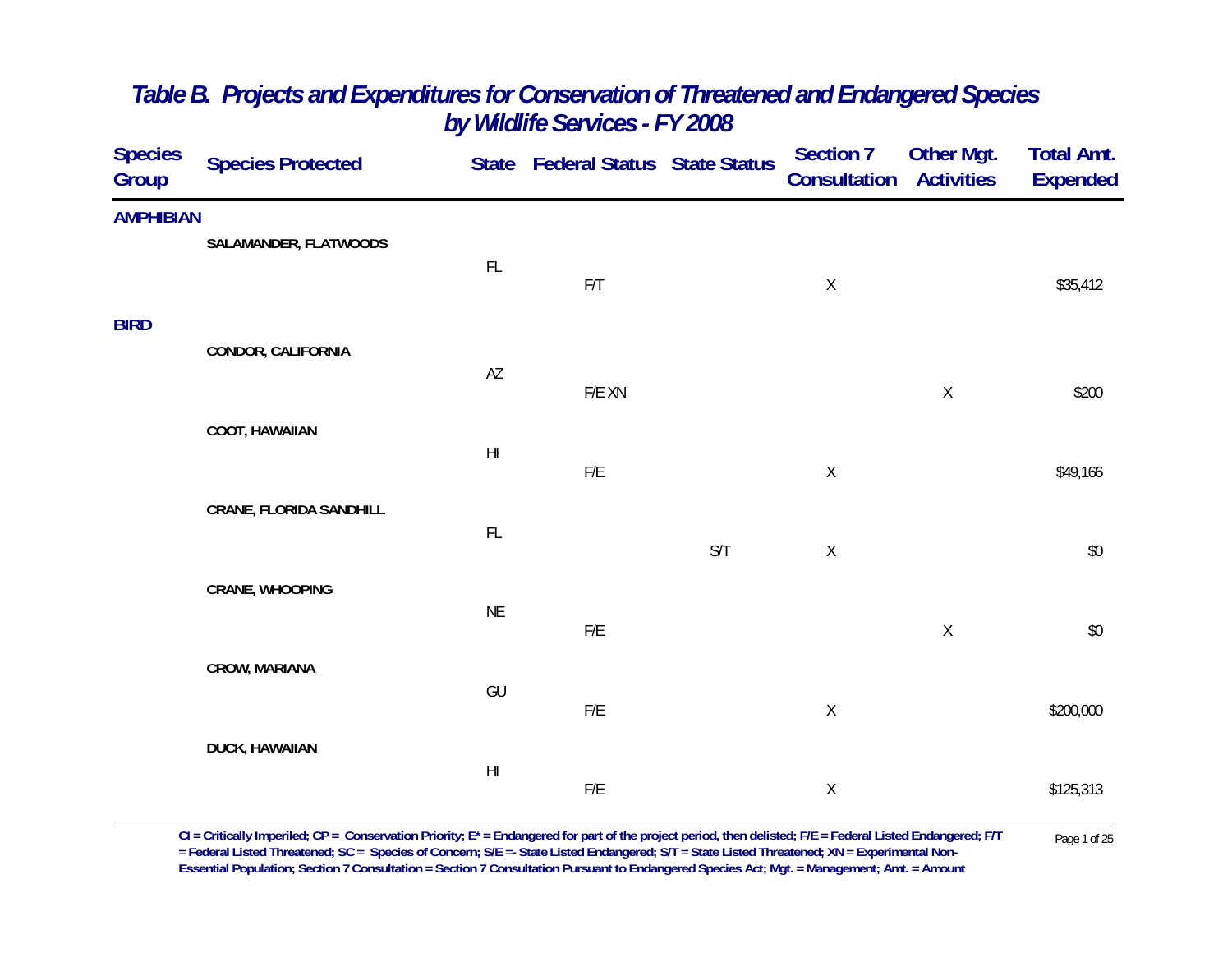| <b>Species</b><br>Group | <b>Species Protected</b>       |                        | State Federal Status State Status |     | <b>Section 7</b><br>Consultation | Other Mgt.<br><b>Activities</b> | <b>Total Amt.</b><br><b>Expended</b> |
|-------------------------|--------------------------------|------------------------|-----------------------------------|-----|----------------------------------|---------------------------------|--------------------------------------|
| <b>AMPHIBIAN</b>        |                                |                        |                                   |     |                                  |                                 |                                      |
|                         | SALAMANDER, FLATWOODS          | FL                     |                                   |     |                                  |                                 |                                      |
|                         |                                |                        | F/T                               |     | $\mathsf X$                      |                                 | \$35,412                             |
| <b>BIRD</b>             |                                |                        |                                   |     |                                  |                                 |                                      |
|                         | CONDOR, CALIFORNIA             | AZ                     |                                   |     |                                  |                                 |                                      |
|                         |                                |                        | F/E XN                            |     |                                  | $\mathsf X$                     | \$200                                |
|                         | <b>COOT, HAWAIIAN</b>          |                        |                                   |     |                                  |                                 |                                      |
|                         |                                | $\mathsf{H}\mathsf{I}$ | ${\sf F/E}$                       |     | $\mathsf X$                      |                                 | \$49,166                             |
|                         | <b>CRANE, FLORIDA SANDHILL</b> |                        |                                   |     |                                  |                                 |                                      |
|                         |                                | FL                     |                                   | S/T | $\mathsf X$                      |                                 | $$0$$                                |
|                         | CRANE, WHOOPING                |                        |                                   |     |                                  |                                 |                                      |
|                         |                                | <b>NE</b>              | F/E                               |     |                                  | $\mathsf X$                     | $$0$$                                |
|                         |                                |                        |                                   |     |                                  |                                 |                                      |
|                         | CROW, MARIANA                  | GU                     |                                   |     |                                  |                                 |                                      |
|                         |                                |                        | ${\sf F/E}$                       |     | $\mathsf X$                      |                                 | \$200,000                            |
|                         | <b>DUCK, HAWAIIAN</b>          | $\mathsf{H}\mathsf{I}$ |                                   |     |                                  |                                 |                                      |
|                         |                                |                        | ${\sf F/E}$                       |     | $\mathsf X$                      |                                 | \$125,313                            |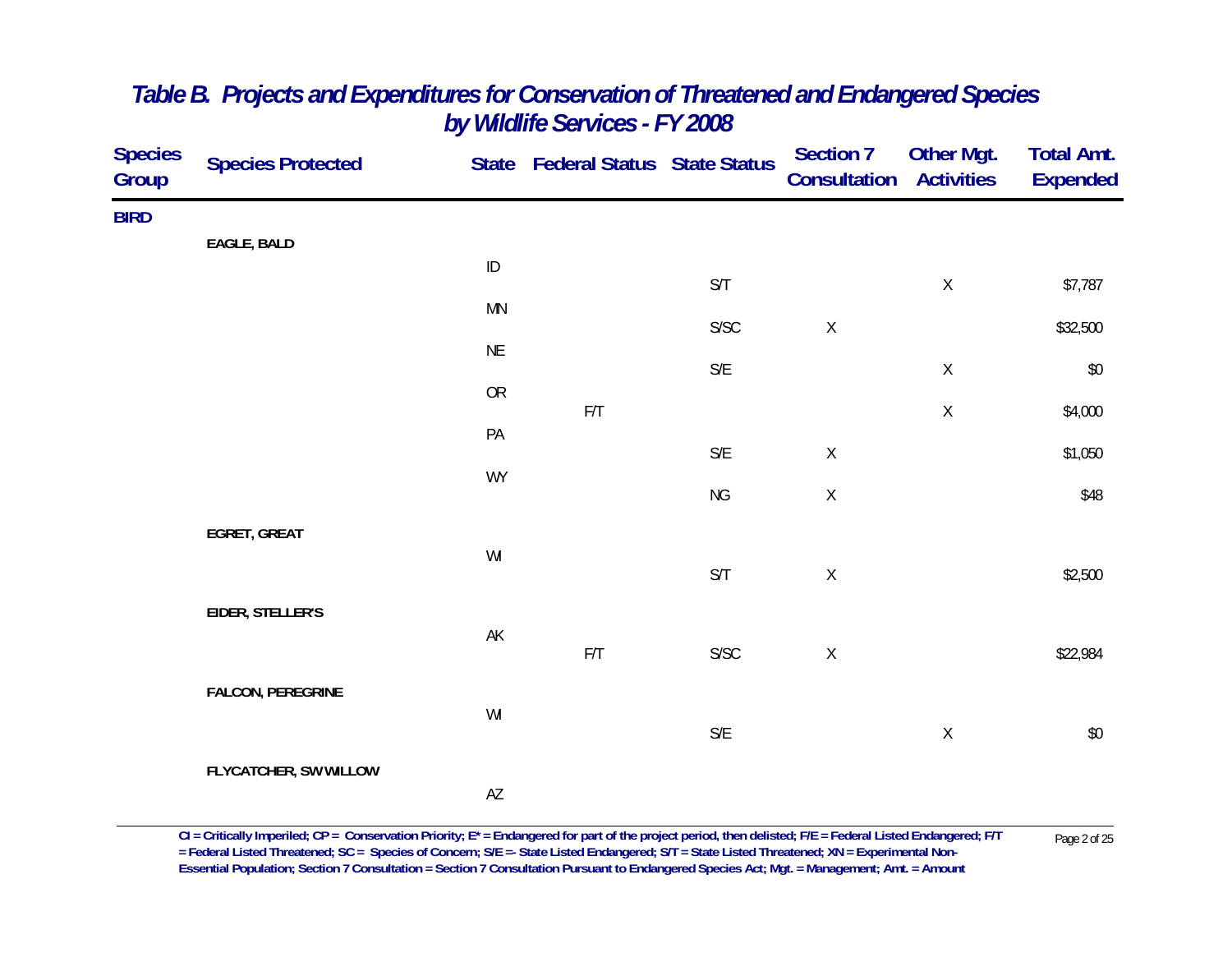| <b>Species</b><br>Group | <b>Species Protected</b> |                        | State Federal Status State Status |                         | <b>Section 7</b><br>Consultation | <b>Other Mgt.</b><br><b>Activities</b> | <b>Total Amt.</b><br><b>Expended</b> |
|-------------------------|--------------------------|------------------------|-----------------------------------|-------------------------|----------------------------------|----------------------------------------|--------------------------------------|
| <b>BIRD</b>             |                          |                        |                                   |                         |                                  |                                        |                                      |
|                         | EAGLE, BALD              | $\sf ID$               |                                   | $\mathsf{S}/\mathsf{T}$ |                                  | $\mathsf X$                            | \$7,787                              |
|                         |                          | <b>MN</b>              |                                   | ${\sf S/SC}$            | $\mathsf X$                      |                                        | \$32,500                             |
|                         |                          | <b>NE</b>              |                                   | $\mathsf{S}/\mathsf{E}$ |                                  | $\mathsf X$                            | $$0$                                 |
|                         |                          | <b>OR</b>              | $\mathsf{F}/\mathsf{T}$           |                         |                                  | $\mathsf X$                            | \$4,000                              |
|                         |                          | PA                     |                                   | $\mathsf{S}/\mathsf{E}$ | $\mathsf X$                      |                                        | \$1,050                              |
|                         |                          | <b>WY</b>              |                                   | <b>NG</b>               | $\mathsf X$                      |                                        | \$48                                 |
|                         | EGRET, GREAT             | WI                     |                                   |                         |                                  |                                        |                                      |
|                         |                          |                        |                                   | S/T                     | $\mathsf X$                      |                                        | \$2,500                              |
|                         | EIDER, STELLER'S         | $\mathsf{AK}$          |                                   |                         |                                  |                                        |                                      |
|                         |                          |                        | $\mathsf{F}/\mathsf{T}$           | ${\sf S/SC}$            | $\mathsf X$                      |                                        | \$22,984                             |
|                         | <b>FALCON, PEREGRINE</b> | WI                     |                                   |                         |                                  |                                        |                                      |
|                         | FLYCATCHER, SW WILLOW    |                        |                                   | $\mathsf{S}/\mathsf{E}$ |                                  | $\mathsf X$                            | $$0$$                                |
|                         |                          | $\mathsf{A}\mathsf{Z}$ |                                   |                         |                                  |                                        |                                      |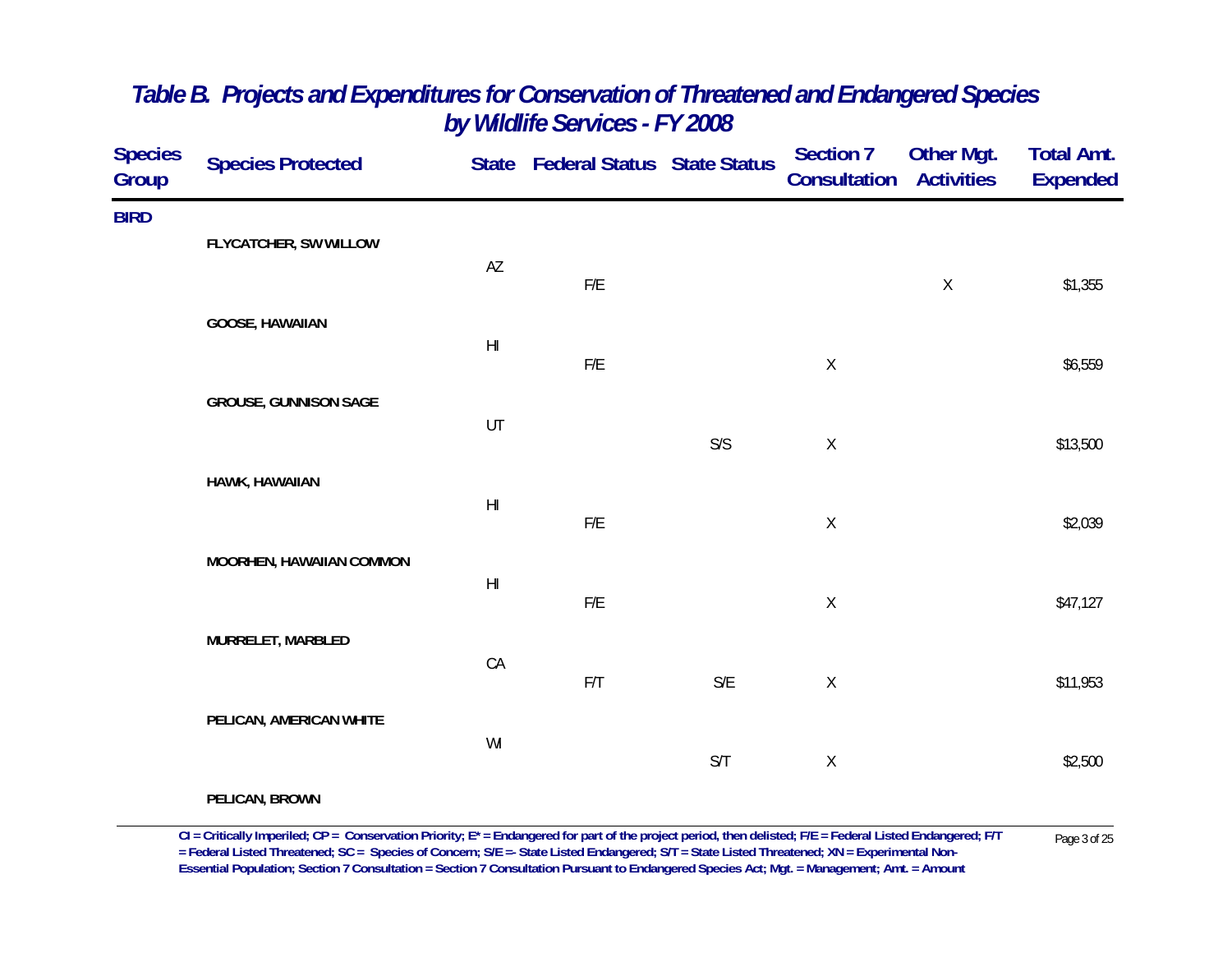| <b>Species</b><br>Group | <b>Species Protected</b>     |                        | State Federal Status State Status |     | <b>Section 7</b><br>Consultation | <b>Other Mgt.</b><br><b>Activities</b> | <b>Total Amt.</b><br><b>Expended</b> |
|-------------------------|------------------------------|------------------------|-----------------------------------|-----|----------------------------------|----------------------------------------|--------------------------------------|
| <b>BIRD</b>             | FLYCATCHER, SW WILLOW        |                        |                                   |     |                                  |                                        |                                      |
|                         |                              | AZ                     | ${\sf F/E}$                       |     |                                  | $\mathsf X$                            | \$1,355                              |
|                         | <b>GOOSE, HAWAIIAN</b>       | $\mathsf{H}\mathsf{I}$ |                                   |     |                                  |                                        |                                      |
|                         | <b>GROUSE, GUNNISON SAGE</b> |                        | F/E                               |     | $\mathsf X$                      |                                        | \$6,559                              |
|                         |                              | UT                     |                                   | S/S | $\mathsf X$                      |                                        | \$13,500                             |
|                         | HAWK, HAWAIIAN               | $\mathsf{H}\mathsf{I}$ |                                   |     |                                  |                                        |                                      |
|                         | MOORHEN, HAWAIIAN COMMON     |                        | ${\sf F/E}$                       |     | $\mathsf X$                      |                                        | \$2,039                              |
|                         |                              | $\mathsf{H}\mathsf{I}$ | ${\sf F/E}$                       |     | $\mathsf X$                      |                                        | \$47,127                             |
|                         | MURRELET, MARBLED            | CA                     |                                   |     |                                  |                                        |                                      |
|                         | PELICAN, AMERICAN WHITE      |                        | F/T                               | S/E | $\mathsf X$                      |                                        | \$11,953                             |
|                         |                              | WI                     |                                   | S/T | $\mathsf X$                      |                                        | \$2,500                              |
|                         | PELICAN, BROWN               |                        |                                   |     |                                  |                                        |                                      |

CI = Critically Imperiled; CP = Conservation Priority; E\* = Endangered for part of the project period, then delisted; F/E = Federal Listed Endangered; F/T Page 3 of 25<br>= Federal Listed Threatened; SC = Species of Concern; **Essential Population; Section 7 Consultation = Section 7 Consultation Pursuant to Endangered Species Act; Mgt. = Management; Amt. = Amount**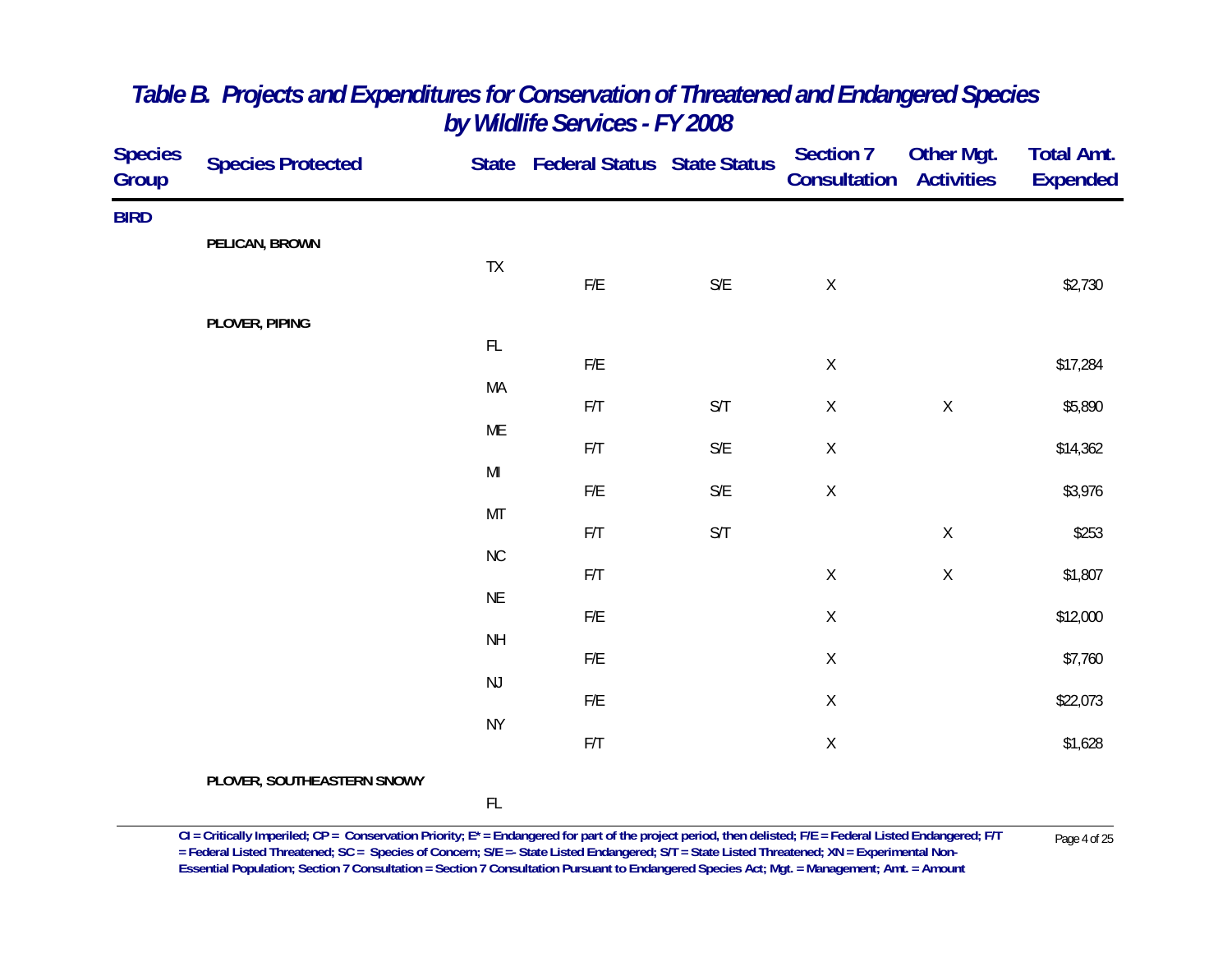| <b>Species</b><br>Group | <b>Species Protected</b>   |                                                                                        | State Federal Status State Status |                         | <b>Section 7</b><br><b>Consultation</b> | <b>Other Mgt.</b><br><b>Activities</b> | <b>Total Amt.</b><br><b>Expended</b> |
|-------------------------|----------------------------|----------------------------------------------------------------------------------------|-----------------------------------|-------------------------|-----------------------------------------|----------------------------------------|--------------------------------------|
| <b>BIRD</b>             |                            |                                                                                        |                                   |                         |                                         |                                        |                                      |
|                         | PELICAN, BROWN             | TX                                                                                     |                                   |                         |                                         |                                        |                                      |
|                         |                            |                                                                                        | ${\sf F/E}$                       | $\mathsf{S}/\mathsf{E}$ | $\mathsf X$                             |                                        | \$2,730                              |
|                         | PLOVER, PIPING             |                                                                                        |                                   |                         |                                         |                                        |                                      |
|                         |                            | $\mathsf{FL}$                                                                          | ${\sf F/E}$                       |                         | $\mathsf X$                             |                                        | \$17,284                             |
|                         |                            | MA                                                                                     | $\mathsf{F}/\mathsf{T}$           | $\mathsf{S}/\mathsf{T}$ | $\mathsf X$                             | $\mathsf X$                            | \$5,890                              |
|                         |                            | ME                                                                                     | F/T                               | $\mathsf{S}/\mathsf{E}$ | $\mathsf X$                             |                                        | \$14,362                             |
|                         |                            | $\mathsf{MI}% _{T}=\mathsf{M}_{T}\!\left( a,b\right) ,\ \mathsf{M}_{T}=\mathsf{M}_{T}$ | ${\sf F/E}$                       | $\mathsf{S}/\mathsf{E}$ | $\mathsf X$                             |                                        | \$3,976                              |
|                         |                            | MT                                                                                     |                                   |                         |                                         |                                        |                                      |
|                         |                            | $\rm NC$                                                                               | $\mathsf{F}/\mathsf{T}$           | $\mathsf{S}/\mathsf{T}$ |                                         | $\mathsf X$                            | \$253                                |
|                         |                            | <b>NE</b>                                                                              | F/T                               |                         | $\mathsf X$                             | Χ                                      | \$1,807                              |
|                         |                            | <b>NH</b>                                                                              | F/E                               |                         | $\mathsf X$                             |                                        | \$12,000                             |
|                         |                            |                                                                                        | ${\sf F/E}$                       |                         | $\mathsf X$                             |                                        | \$7,760                              |
|                         |                            | $\mathsf{NJ}$                                                                          | $F/E$                             |                         | $\mathsf X$                             |                                        | \$22,073                             |
|                         |                            | <b>NY</b>                                                                              | $\mathsf{F}/\mathsf{T}$           |                         | $\mathsf X$                             |                                        | \$1,628                              |
|                         | PLOVER, SOUTHEASTERN SNOWY |                                                                                        |                                   |                         |                                         |                                        |                                      |
|                         |                            | FL                                                                                     |                                   |                         |                                         |                                        |                                      |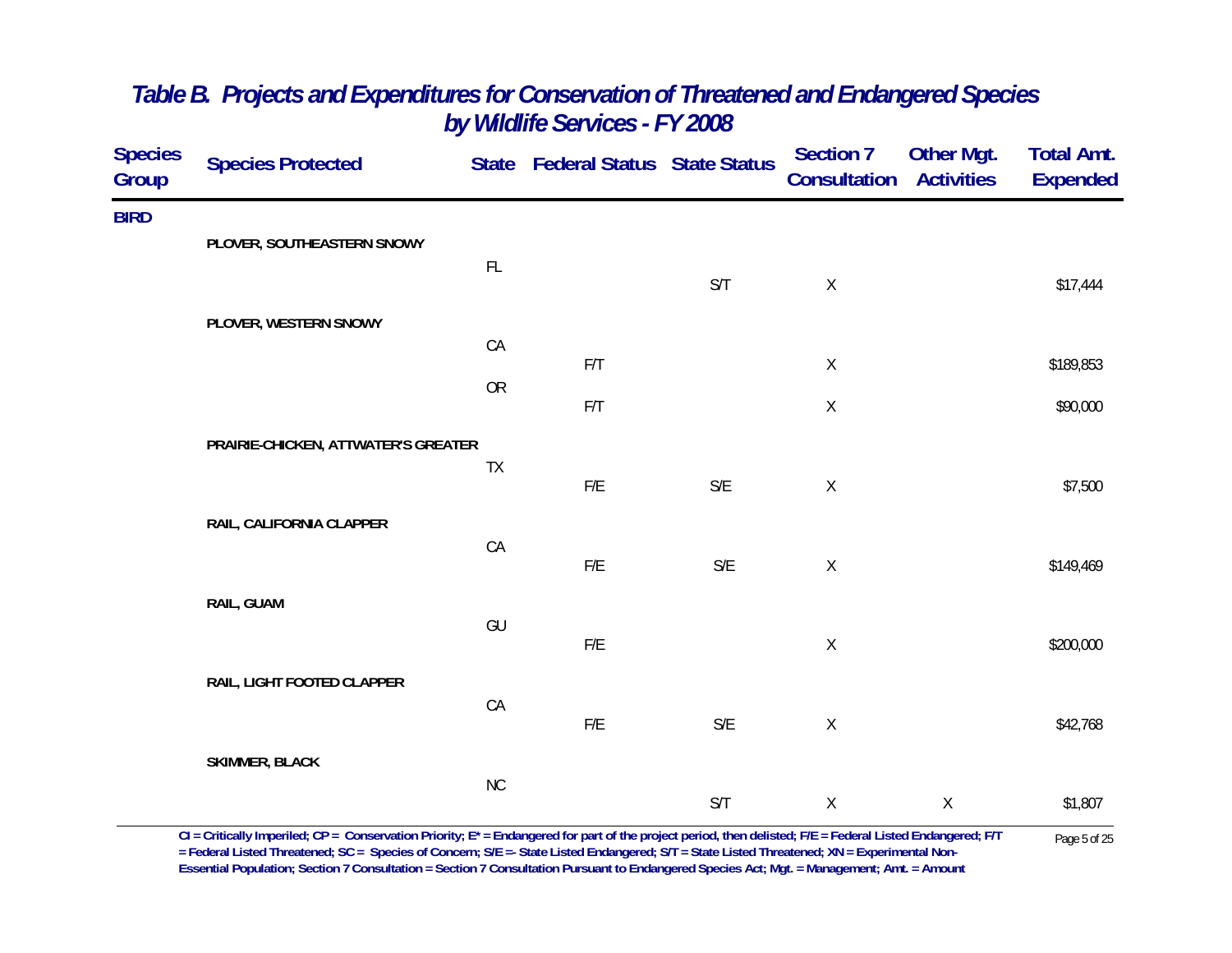| <b>Species</b><br>Group | <b>Species Protected</b>            |               | State Federal Status State Status |                         | <b>Section 7</b><br>Consultation | Other Mgt.<br><b>Activities</b> | <b>Total Amt.</b><br><b>Expended</b> |
|-------------------------|-------------------------------------|---------------|-----------------------------------|-------------------------|----------------------------------|---------------------------------|--------------------------------------|
| <b>BIRD</b>             |                                     |               |                                   |                         |                                  |                                 |                                      |
|                         | PLOVER, SOUTHEASTERN SNOWY          | $\mathsf{FL}$ |                                   |                         |                                  |                                 |                                      |
|                         |                                     |               |                                   | S/T                     | $\mathsf X$                      |                                 | \$17,444                             |
|                         | PLOVER, WESTERN SNOWY               |               |                                   |                         |                                  |                                 |                                      |
|                         |                                     | CA            | F/T                               |                         | $\mathsf X$                      |                                 | \$189,853                            |
|                         |                                     | OR            | F/T                               |                         | $\sf X$                          |                                 | \$90,000                             |
|                         | PRAIRIE-CHICKEN, ATTWATER'S GREATER |               |                                   |                         |                                  |                                 |                                      |
|                         |                                     | TX            | $\mathsf{F}/\mathsf{E}$           | $\mathsf{S}/\mathsf{E}$ | $\mathsf X$                      |                                 | \$7,500                              |
|                         | RAIL, CALIFORNIA CLAPPER            |               |                                   |                         |                                  |                                 |                                      |
|                         |                                     | CA            | F/E                               | $\mathsf{S}/\mathsf{E}$ | $\mathsf X$                      |                                 | \$149,469                            |
|                         | RAIL, GUAM                          |               |                                   |                         |                                  |                                 |                                      |
|                         |                                     | GU            | F/E                               |                         | $\mathsf X$                      |                                 | \$200,000                            |
|                         | RAIL, LIGHT FOOTED CLAPPER          |               |                                   |                         |                                  |                                 |                                      |
|                         |                                     | CA            | ${\sf F/E}$                       | $\mathsf{S}/\mathsf{E}$ | $\mathsf X$                      |                                 | \$42,768                             |
|                         | <b>SKIMMER, BLACK</b>               |               |                                   |                         |                                  |                                 |                                      |
|                         |                                     | <b>NC</b>     |                                   | S/T                     | $\mathsf X$                      | $\mathsf X$                     | \$1,807                              |
|                         |                                     |               |                                   |                         |                                  |                                 |                                      |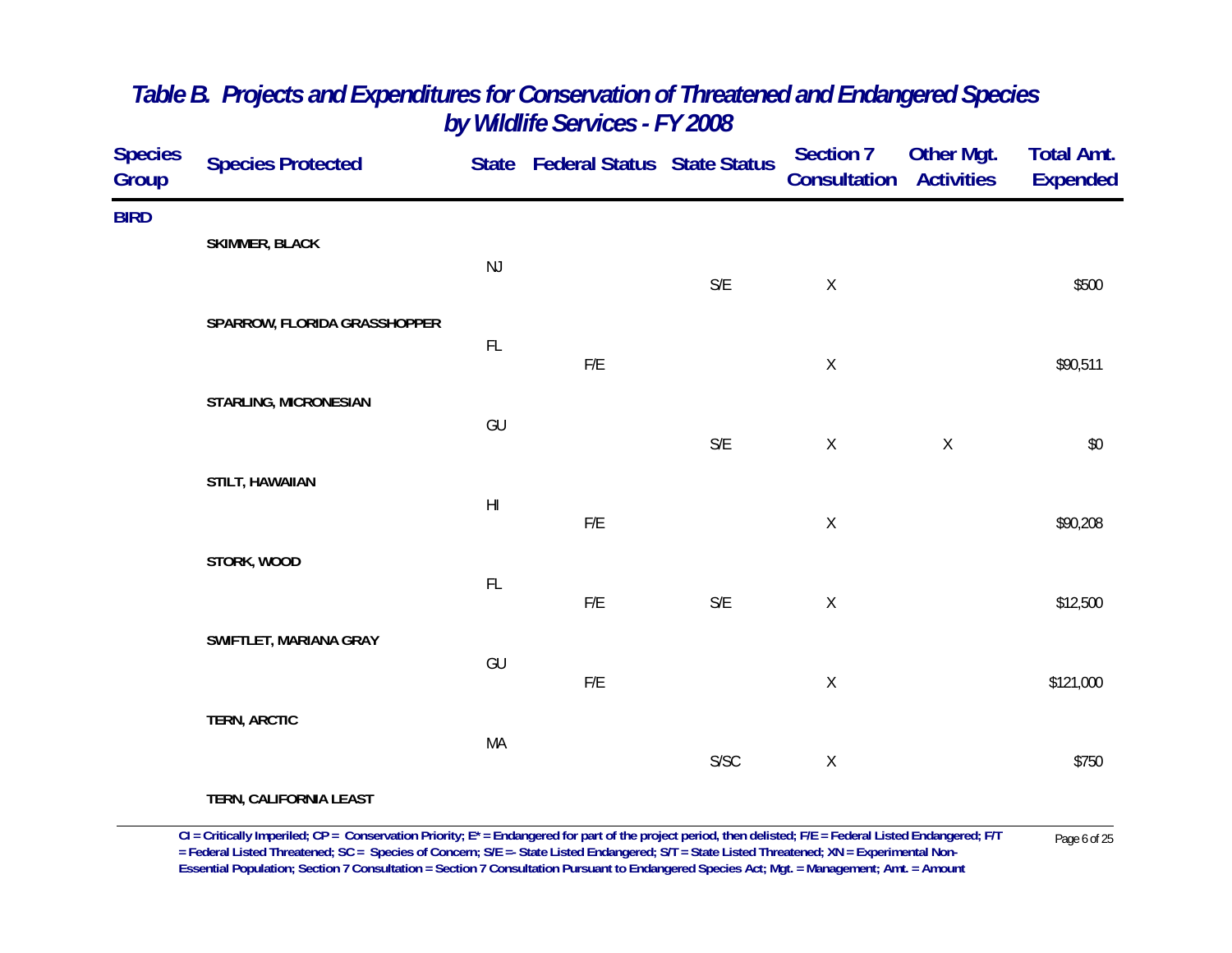| <b>Species</b><br>Group | <b>Species Protected</b>     |                | State Federal Status State Status |                         | Section 7<br><b>Consultation Activities</b> | Other Mgt.  | <b>Total Amt.</b><br><b>Expended</b> |
|-------------------------|------------------------------|----------------|-----------------------------------|-------------------------|---------------------------------------------|-------------|--------------------------------------|
| <b>BIRD</b>             |                              |                |                                   |                         |                                             |             |                                      |
|                         | <b>SKIMMER, BLACK</b>        | NJ             |                                   | $\mathsf{S}/\mathsf{E}$ | $\mathsf X$                                 |             | \$500                                |
|                         | SPARROW, FLORIDA GRASSHOPPER |                |                                   |                         |                                             |             |                                      |
|                         |                              | FL             | ${\sf F/E}$                       |                         | $\mathsf X$                                 |             | \$90,511                             |
|                         | STARLING, MICRONESIAN        | GU             |                                   |                         |                                             |             |                                      |
|                         |                              |                |                                   | $\mathsf{S}/\mathsf{E}$ | $\mathsf X$                                 | $\mathsf X$ | $\$0$                                |
|                         | STILT, HAWAIIAN              | H <sub>l</sub> |                                   |                         |                                             |             |                                      |
|                         | STORK, WOOD                  |                | ${\sf F/E}$                       |                         | $\mathsf X$                                 |             | \$90,208                             |
|                         |                              | $\mathsf{FL}$  | ${\sf F/E}$                       | $\mathsf{S}/\mathsf{E}$ | $\mathsf X$                                 |             | \$12,500                             |
|                         | SWIFTLET, MARIANA GRAY       |                |                                   |                         |                                             |             |                                      |
|                         |                              | GU             | ${\sf F/E}$                       |                         | $\mathsf X$                                 |             | \$121,000                            |
|                         | <b>TERN, ARCTIC</b>          |                |                                   |                         |                                             |             |                                      |
|                         |                              | MA             |                                   | S/SC                    | $\mathsf X$                                 |             | \$750                                |
|                         | $T = 0.1128115801114177407$  |                |                                   |                         |                                             |             |                                      |

**TERN, CALIFORNIA LEAST**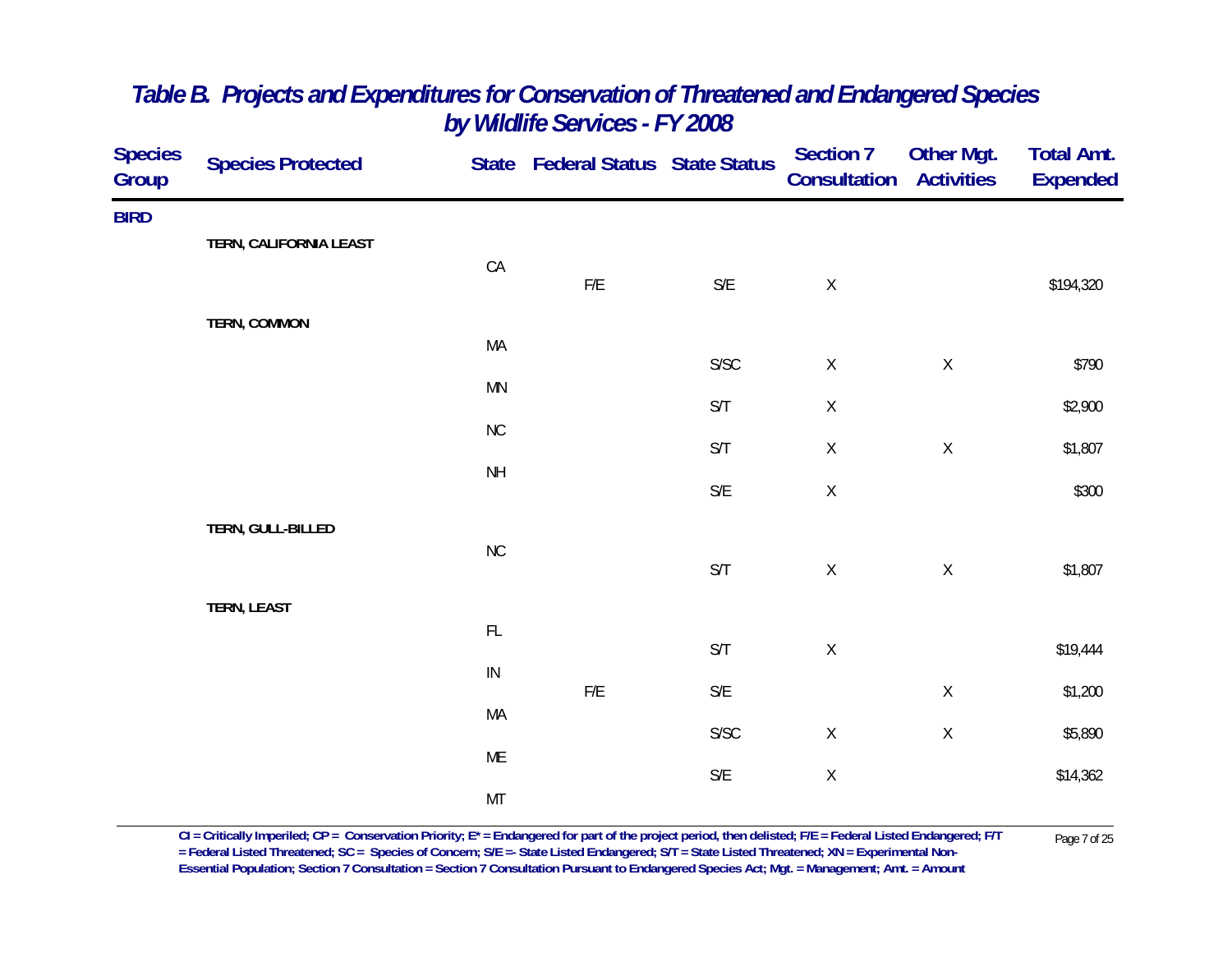| <b>Species</b><br>Group | <b>Species Protected</b> |                 | State Federal Status State Status |                         | <b>Section 7</b><br>Consultation | Other Mgt.<br><b>Activities</b> | <b>Total Amt.</b><br><b>Expended</b> |
|-------------------------|--------------------------|-----------------|-----------------------------------|-------------------------|----------------------------------|---------------------------------|--------------------------------------|
| <b>BIRD</b>             |                          |                 |                                   |                         |                                  |                                 |                                      |
|                         | TERN, CALIFORNIA LEAST   | CA              |                                   |                         |                                  |                                 |                                      |
|                         |                          |                 | ${\sf F/E}$                       | $\mathsf{S}/\mathsf{E}$ | $\mathsf X$                      |                                 | \$194,320                            |
|                         | TERN, COMMON             |                 |                                   |                         |                                  |                                 |                                      |
|                         |                          | MA              |                                   | ${\sf S/SC}$            | $\mathsf X$                      | $\mathsf X$                     | \$790                                |
|                         |                          | MN              |                                   | $\mathsf{S}/\mathsf{T}$ | $\mathsf X$                      |                                 | \$2,900                              |
|                         |                          | ${\sf NC}$      |                                   | S/T                     | $\mathsf X$                      | $\mathsf X$                     | \$1,807                              |
|                         |                          | $\mathsf{NH}\,$ |                                   | $\mathsf{S}/\mathsf{E}$ | $\mathsf X$                      |                                 | \$300                                |
|                         | TERN, GULL-BILLED        |                 |                                   |                         |                                  |                                 |                                      |
|                         |                          | $\rm{NC}$       |                                   |                         |                                  |                                 |                                      |
|                         |                          |                 |                                   | $\mathsf{S}/\mathsf{T}$ | $\mathsf X$                      | $\mathsf X$                     | \$1,807                              |
|                         | TERN, LEAST              | $\mathsf{FL}$   |                                   |                         |                                  |                                 |                                      |
|                         |                          | ${\sf IN}$      |                                   | $\mathsf{S}/\mathsf{T}$ | $\mathsf X$                      |                                 | \$19,444                             |
|                         |                          |                 | F/E                               | $\mathsf{S}/\mathsf{E}$ |                                  | $\mathsf X$                     | \$1,200                              |
|                         |                          | MA              |                                   | ${\sf S/SC}$            | $\mathsf X$                      | $\mathsf X$                     | \$5,890                              |
|                         |                          | ME              |                                   | $\mathsf{S}/\mathsf{E}$ | $\mathsf X$                      |                                 | \$14,362                             |
|                         |                          | MT              |                                   |                         |                                  |                                 |                                      |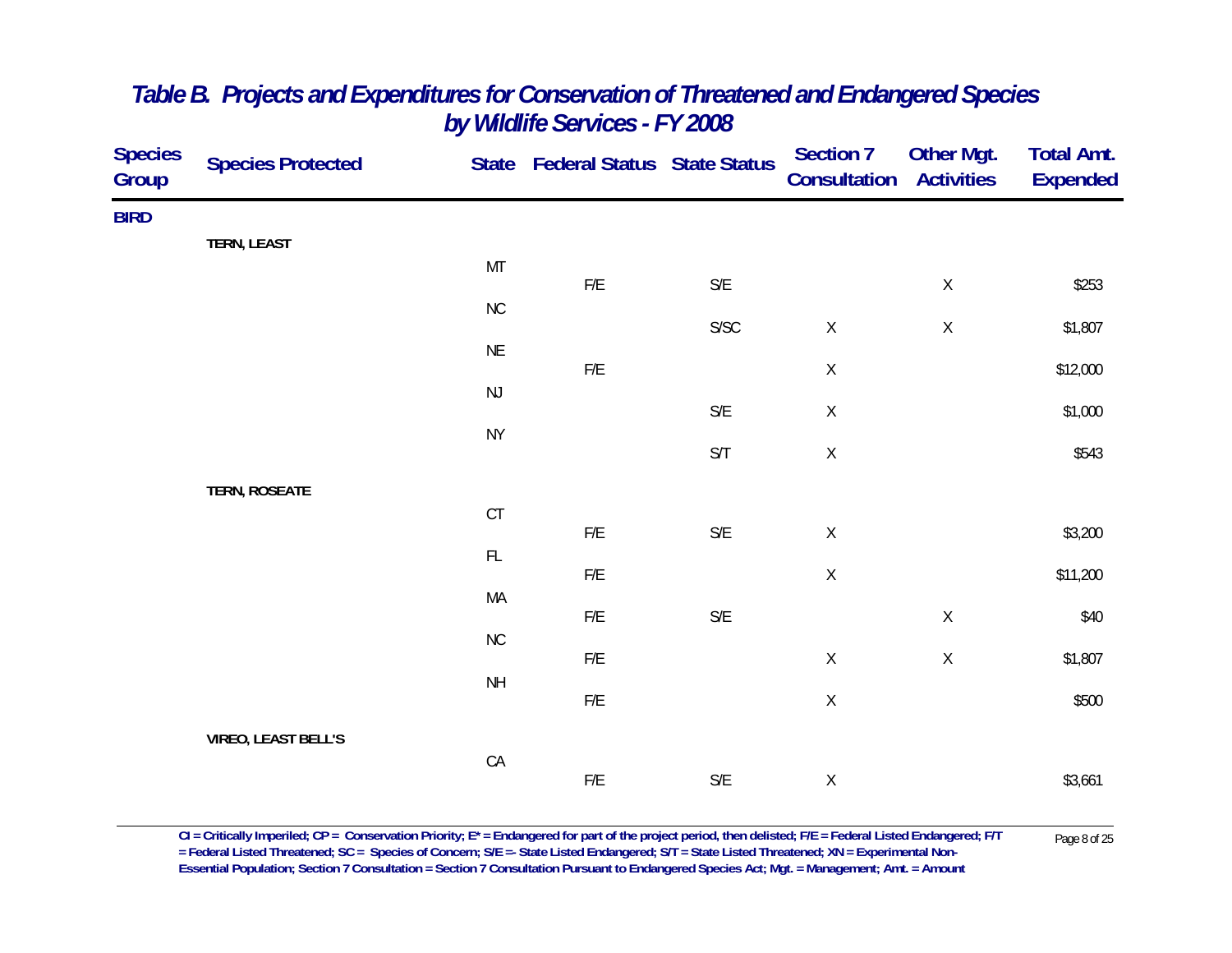| <b>Species</b><br>Group | <b>Species Protected</b>   |                 | State Federal Status State Status |                         | Section 7<br>Consultation | Other Mgt.<br><b>Activities</b> | <b>Total Amt.</b><br><b>Expended</b> |
|-------------------------|----------------------------|-----------------|-----------------------------------|-------------------------|---------------------------|---------------------------------|--------------------------------------|
| <b>BIRD</b>             |                            |                 |                                   |                         |                           |                                 |                                      |
|                         | <b>TERN, LEAST</b>         | MT              |                                   |                         |                           |                                 |                                      |
|                         |                            | $\rm NC$        | F/E                               | $\mathsf{S}/\mathsf{E}$ |                           | $\mathsf X$                     | \$253                                |
|                         |                            |                 |                                   | ${\sf S/SC}$            | $\mathsf X$               | $\mathsf X$                     | \$1,807                              |
|                         |                            | $\sf NE$        | $F/E$                             |                         | $\mathsf X$               |                                 | \$12,000                             |
|                         |                            | $\mathsf{NJ}$   |                                   | $\mathsf{S}/\mathsf{E}$ | $\mathsf X$               |                                 | \$1,000                              |
|                         |                            | <b>NY</b>       |                                   | $\mathsf{S}/\mathsf{T}$ | $\mathsf X$               |                                 | \$543                                |
|                         | <b>TERN, ROSEATE</b>       |                 |                                   |                         |                           |                                 |                                      |
|                         |                            | $C$ T           |                                   |                         |                           |                                 |                                      |
|                         |                            | $\mathsf{FL}$   | ${\sf F/E}$                       | $\mathsf{S}/\mathsf{E}$ | $\mathsf X$               |                                 | \$3,200                              |
|                         |                            | MA              | ${\sf F/E}$                       |                         | $\mathsf X$               |                                 | \$11,200                             |
|                         |                            |                 | ${\sf F/E}$                       | $\mathsf{S}/\mathsf{E}$ |                           | $\mathsf X$                     | \$40                                 |
|                         |                            | ${\sf NC}$      | ${\sf F/E}$                       |                         | $\mathsf X$               | $\mathsf X$                     | \$1,807                              |
|                         |                            | $\mathsf{NH}\,$ | ${\sf F/E}$                       |                         | $\mathsf X$               |                                 | \$500                                |
|                         | <b>VIREO, LEAST BELL'S</b> |                 |                                   |                         |                           |                                 |                                      |
|                         |                            | CA              | ${\sf F/E}$                       | $\mathsf{S}/\mathsf{E}$ | $\mathsf X$               |                                 | \$3,661                              |
|                         |                            |                 |                                   |                         |                           |                                 |                                      |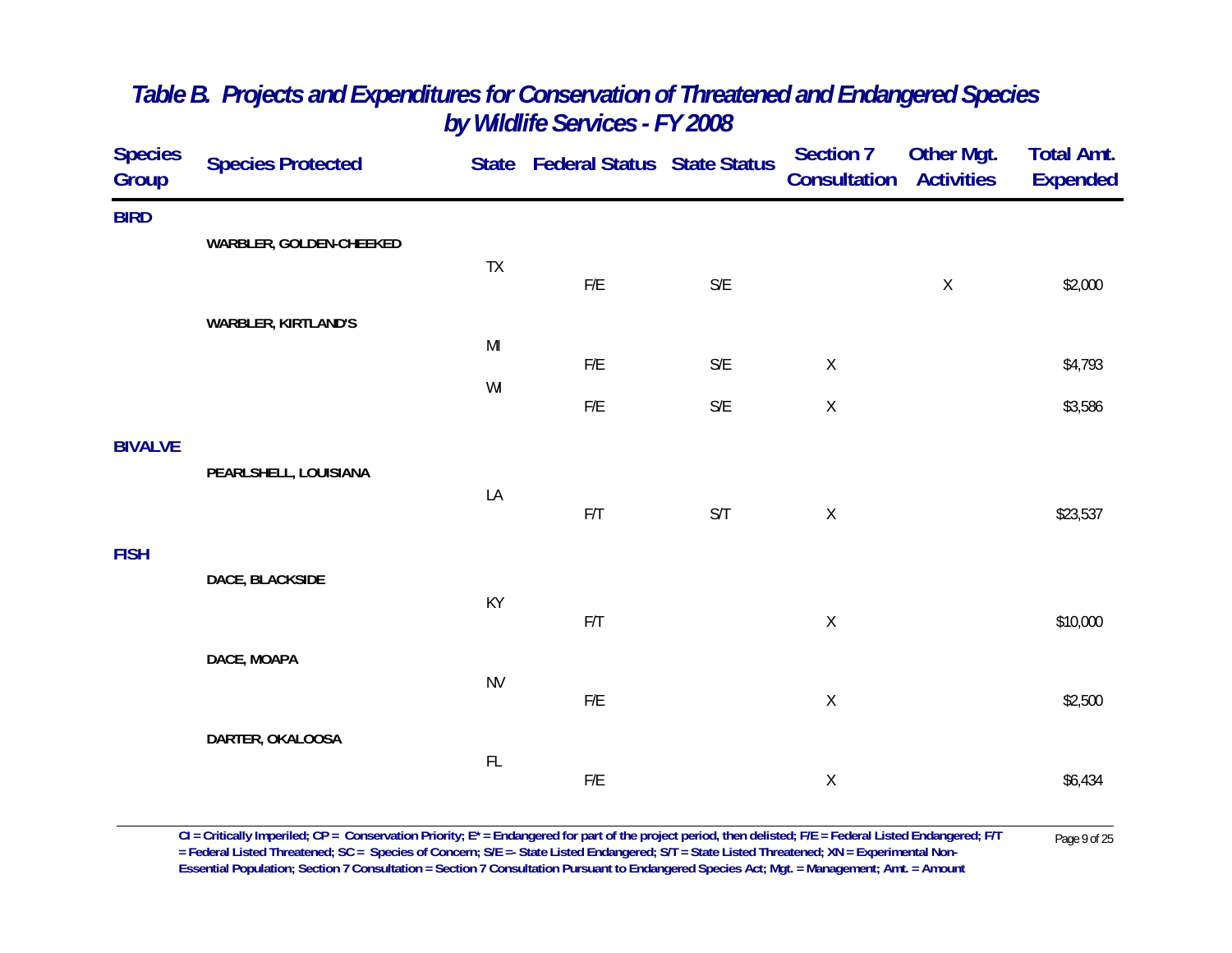| <b>Species</b><br>Group | <b>Species Protected</b>   |                                                                                                             | State Federal Status State Status |                         | Section 7<br>Consultation | <b>Other Mgt.</b><br><b>Activities</b> | <b>Total Amt.</b><br><b>Expended</b> |
|-------------------------|----------------------------|-------------------------------------------------------------------------------------------------------------|-----------------------------------|-------------------------|---------------------------|----------------------------------------|--------------------------------------|
| <b>BIRD</b>             |                            |                                                                                                             |                                   |                         |                           |                                        |                                      |
|                         | WARBLER, GOLDEN-CHEEKED    | TX                                                                                                          |                                   |                         |                           |                                        |                                      |
|                         |                            |                                                                                                             | F/E                               | $\mathsf{S}/\mathsf{E}$ |                           | $\mathsf X$                            | \$2,000                              |
|                         | <b>WARBLER, KIRTLAND'S</b> | $\mathsf{MI}% _{T}=\mathsf{M}_{T}\!\left( a,b\right) ,\ \mathsf{M}_{T}=\mathsf{M}_{T}\!\left( a,b\right) ,$ |                                   |                         |                           |                                        |                                      |
|                         |                            | WI                                                                                                          | F/E                               | $\mathsf{S}/\mathsf{E}$ | $\mathsf X$               |                                        | \$4,793                              |
|                         |                            |                                                                                                             | F/E                               | $\mathsf{S}/\mathsf{E}$ | $\mathsf X$               |                                        | \$3,586                              |
| <b>BIVALVE</b>          |                            |                                                                                                             |                                   |                         |                           |                                        |                                      |
|                         | PEARLSHELL, LOUISIANA      | LA                                                                                                          |                                   |                         |                           |                                        |                                      |
|                         |                            |                                                                                                             | F/T                               | S/T                     | $\mathsf X$               |                                        | \$23,537                             |
| <b>FISH</b>             | DACE, BLACKSIDE            |                                                                                                             |                                   |                         |                           |                                        |                                      |
|                         |                            | KY                                                                                                          | F/T                               |                         | $\mathsf X$               |                                        | \$10,000                             |
|                         | DACE, MOAPA                |                                                                                                             |                                   |                         |                           |                                        |                                      |
|                         |                            | <b>NV</b>                                                                                                   | ${\sf F/E}$                       |                         | $\mathsf X$               |                                        | \$2,500                              |
|                         | DARTER, OKALOOSA           |                                                                                                             |                                   |                         |                           |                                        |                                      |
|                         |                            | $\mathsf{FL}$                                                                                               |                                   |                         |                           |                                        |                                      |
|                         |                            |                                                                                                             | F/E                               |                         | $\mathsf X$               |                                        | \$6,434                              |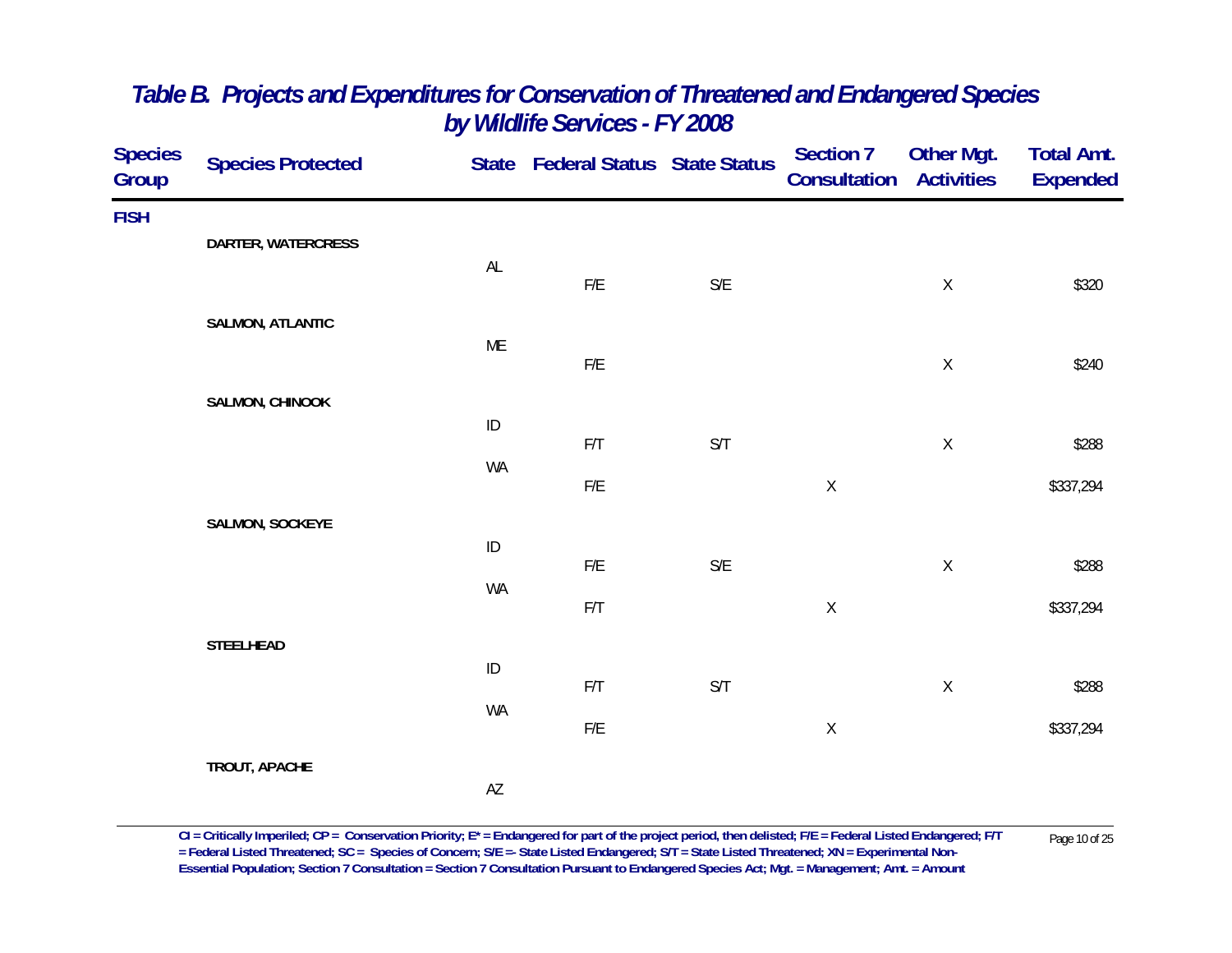| <b>Species</b><br><b>Group</b> | <b>Species Protected</b> |                        | State Federal Status State Status |                         | <b>Section 7</b><br>Consultation | <b>Other Mgt.</b><br><b>Activities</b> | <b>Total Amt.</b><br><b>Expended</b> |
|--------------------------------|--------------------------|------------------------|-----------------------------------|-------------------------|----------------------------------|----------------------------------------|--------------------------------------|
| <b>FISH</b>                    |                          |                        |                                   |                         |                                  |                                        |                                      |
|                                | DARTER, WATERCRESS       | AL                     |                                   |                         |                                  |                                        |                                      |
|                                |                          |                        | ${\sf F/E}$                       | $\mathsf{S}/\mathsf{E}$ |                                  | $\mathsf X$                            | \$320                                |
|                                | <b>SALMON, ATLANTIC</b>  | ME                     |                                   |                         |                                  |                                        |                                      |
|                                |                          |                        | ${\sf F/E}$                       |                         |                                  | $\mathsf X$                            | \$240                                |
|                                | SALMON, CHINOOK          | $\sf ID$               |                                   |                         |                                  |                                        |                                      |
|                                |                          | WA                     | F/T                               | $\mathsf{S}/\mathsf{T}$ |                                  | $\mathsf X$                            | \$288                                |
|                                |                          |                        | ${\sf F/E}$                       |                         | $\mathsf X$                      |                                        | \$337,294                            |
|                                | SALMON, SOCKEYE          | $\sf ID$               |                                   |                         |                                  |                                        |                                      |
|                                |                          | WA                     | F/E                               | $\mathsf{S}/\mathsf{E}$ |                                  | $\mathsf X$                            | \$288                                |
|                                |                          |                        | F/T                               |                         | $\mathsf X$                      |                                        | \$337,294                            |
|                                | <b>STEELHEAD</b>         |                        |                                   |                         |                                  |                                        |                                      |
|                                |                          | $\sf ID$               | $\mathsf{F}/\mathsf{T}$           | $\mathsf{S}/\mathsf{T}$ |                                  | $\mathsf X$                            | \$288                                |
|                                |                          | WA                     | ${\sf F/E}$                       |                         | $\mathsf X$                      |                                        | \$337,294                            |
|                                | TROUT, APACHE            |                        |                                   |                         |                                  |                                        |                                      |
|                                |                          | $\mathsf{A}\mathsf{Z}$ |                                   |                         |                                  |                                        |                                      |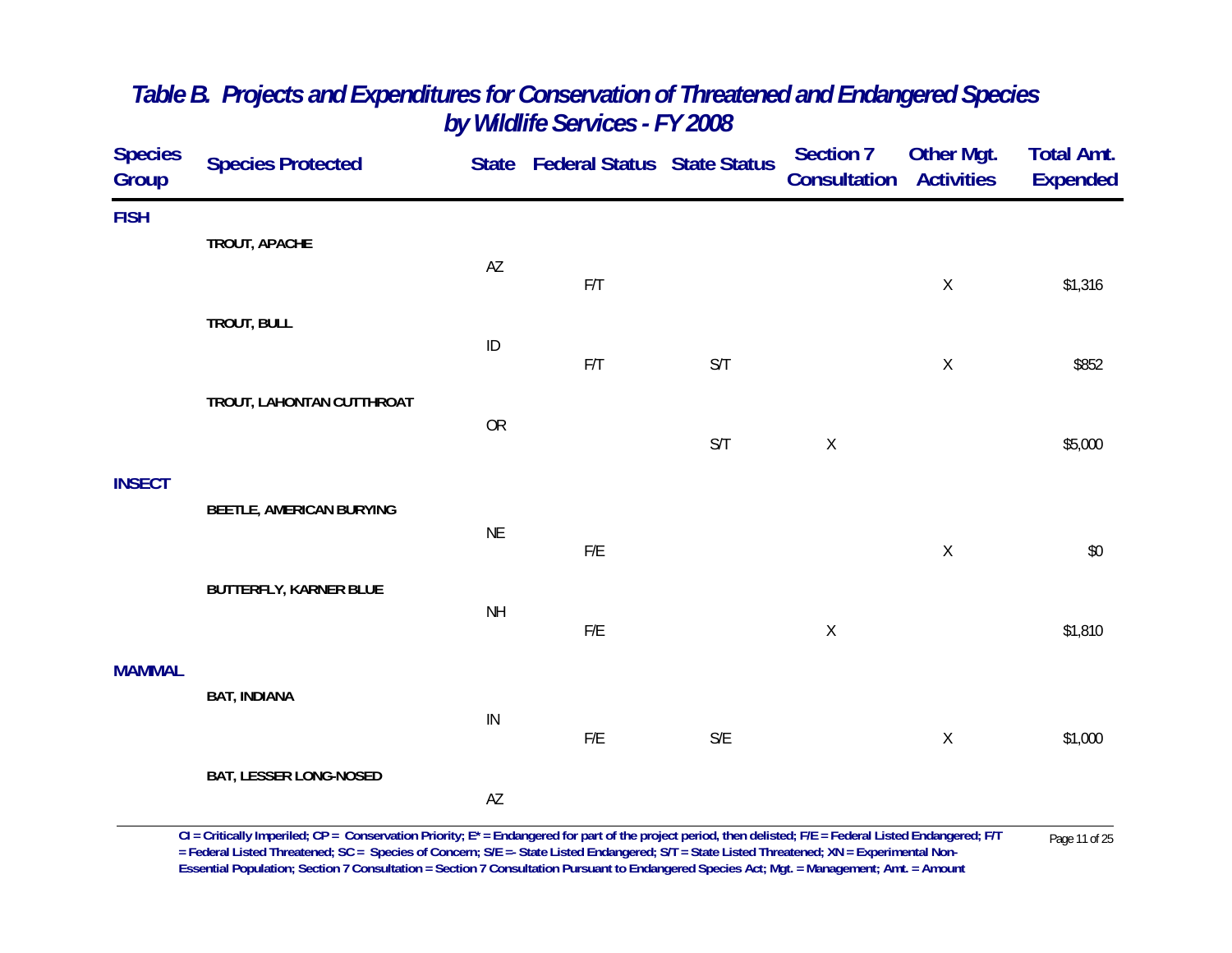| <b>Species</b><br>Group | <b>Species Protected</b>        |            | State Federal Status State Status |                         | <b>Section 7</b><br><b>Consultation</b> | Other Mgt.<br><b>Activities</b> | <b>Total Amt.</b><br><b>Expended</b> |
|-------------------------|---------------------------------|------------|-----------------------------------|-------------------------|-----------------------------------------|---------------------------------|--------------------------------------|
| <b>FISH</b>             | TROUT, APACHE                   |            |                                   |                         |                                         |                                 |                                      |
|                         |                                 | AZ         | F/T                               |                         |                                         | $\mathsf X$                     | \$1,316                              |
|                         | TROUT, BULL                     | ID         |                                   |                         |                                         |                                 |                                      |
|                         | TROUT, LAHONTAN CUTTHROAT       |            | F/T                               | S/T                     |                                         | $\mathsf X$                     | \$852                                |
|                         |                                 | OR         |                                   | S/T                     | $\mathsf X$                             |                                 | \$5,000                              |
| <b>INSECT</b>           | <b>BEETLE, AMERICAN BURYING</b> |            |                                   |                         |                                         |                                 |                                      |
|                         |                                 | <b>NE</b>  | F/E                               |                         |                                         | $\mathsf{X}$                    | \$0                                  |
|                         | <b>BUTTERFLY, KARNER BLUE</b>   | <b>NH</b>  |                                   |                         |                                         |                                 |                                      |
|                         |                                 |            | F/E                               |                         | $\mathsf X$                             |                                 | \$1,810                              |
| <b>MAMMAL</b>           | <b>BAT, INDIANA</b>             |            |                                   |                         |                                         |                                 |                                      |
|                         |                                 | ${\sf IN}$ | ${\sf F/E}$                       | $\mathsf{S}/\mathsf{E}$ |                                         | $\mathsf X$                     | \$1,000                              |
|                         | <b>BAT, LESSER LONG-NOSED</b>   | AZ         |                                   |                         |                                         |                                 |                                      |
|                         |                                 |            |                                   |                         |                                         |                                 |                                      |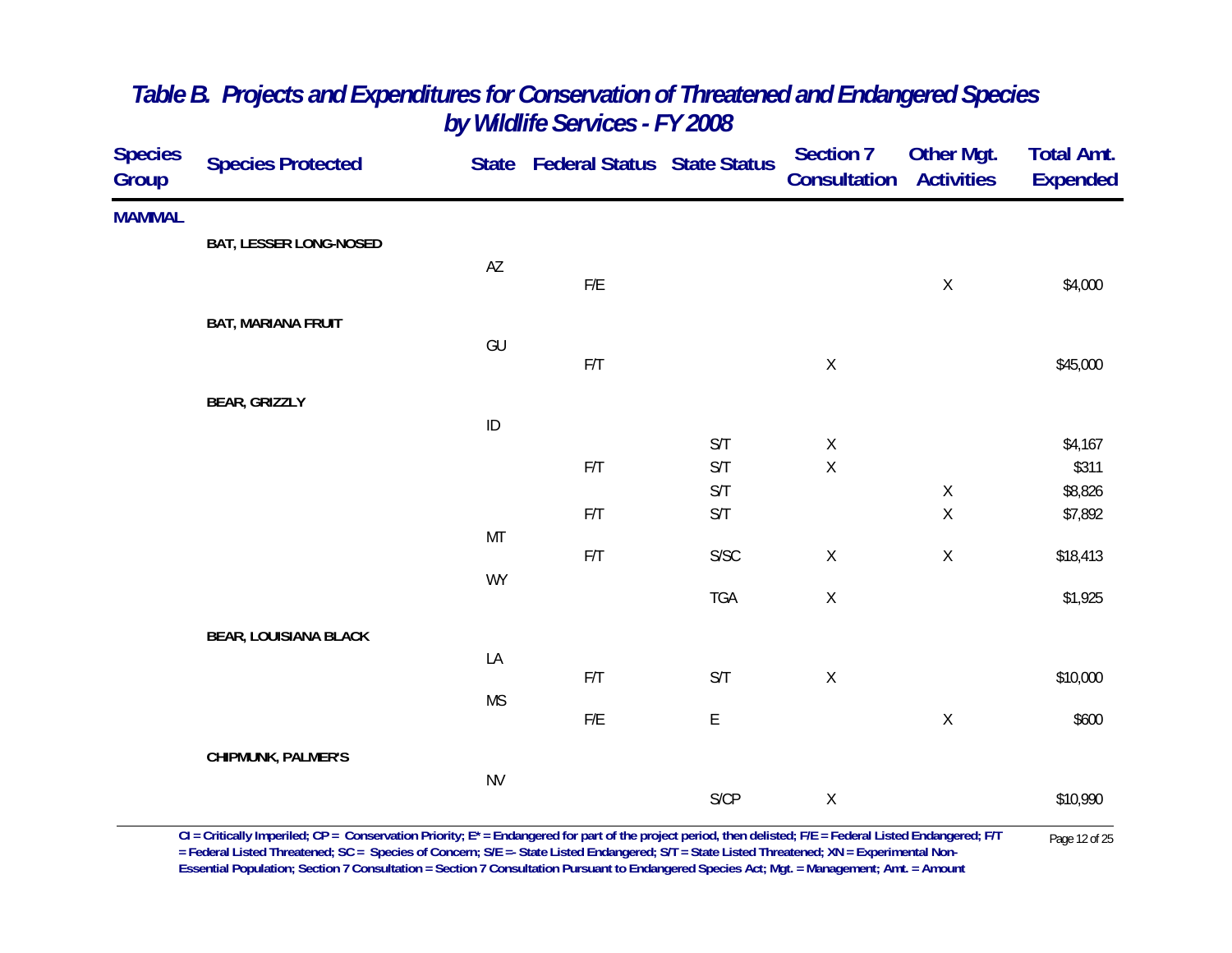| <b>Species</b><br>Group | <b>Species Protected</b>      |           | State Federal Status State Status |                         | <b>Section 7</b><br>Consultation | Other Mgt.<br><b>Activities</b> | <b>Total Amt.</b><br><b>Expended</b> |
|-------------------------|-------------------------------|-----------|-----------------------------------|-------------------------|----------------------------------|---------------------------------|--------------------------------------|
| <b>MAMMAL</b>           |                               |           |                                   |                         |                                  |                                 |                                      |
|                         | <b>BAT, LESSER LONG-NOSED</b> |           |                                   |                         |                                  |                                 |                                      |
|                         |                               | AZ        | F/E                               |                         |                                  | $\mathsf X$                     | \$4,000                              |
|                         | <b>BAT, MARIANA FRUIT</b>     |           |                                   |                         |                                  |                                 |                                      |
|                         |                               | GU        |                                   |                         |                                  |                                 |                                      |
|                         |                               |           | F/T                               |                         | $\mathsf X$                      |                                 | \$45,000                             |
|                         | <b>BEAR, GRIZZLY</b>          |           |                                   |                         |                                  |                                 |                                      |
|                         |                               | $\sf ID$  |                                   | S/T                     |                                  |                                 |                                      |
|                         |                               |           | F/T                               | $\mathsf{S}/\mathsf{T}$ | $\mathsf X$<br>$\mathsf X$       |                                 | \$4,167<br>\$311                     |
|                         |                               |           |                                   | $\mathsf{S}/\mathsf{T}$ |                                  | $\mathsf X$                     | \$8,826                              |
|                         |                               |           | F/T                               | S/T                     |                                  | $\mathsf X$                     | \$7,892                              |
|                         |                               | MT        |                                   |                         |                                  |                                 |                                      |
|                         |                               | <b>WY</b> | F/T                               | ${\sf S/SC}$            | $\mathsf X$                      | $\mathsf X$                     | \$18,413                             |
|                         |                               |           |                                   | TGA                     | $\mathsf X$                      |                                 | \$1,925                              |
|                         | <b>BEAR, LOUISIANA BLACK</b>  |           |                                   |                         |                                  |                                 |                                      |
|                         |                               | LA        |                                   |                         |                                  |                                 |                                      |
|                         |                               |           | F/T                               | S/T                     | $\mathsf X$                      |                                 | \$10,000                             |
|                         |                               | <b>MS</b> | ${\sf F/E}$                       | $\mathsf E$             |                                  | Χ                               | \$600                                |
|                         | CHIPMUNK, PALMER'S            |           |                                   |                         |                                  |                                 |                                      |
|                         |                               | <b>NV</b> |                                   |                         |                                  |                                 |                                      |
|                         |                               |           |                                   | S/CP                    | $\mathsf X$                      |                                 | \$10,990                             |
|                         |                               |           |                                   |                         |                                  |                                 |                                      |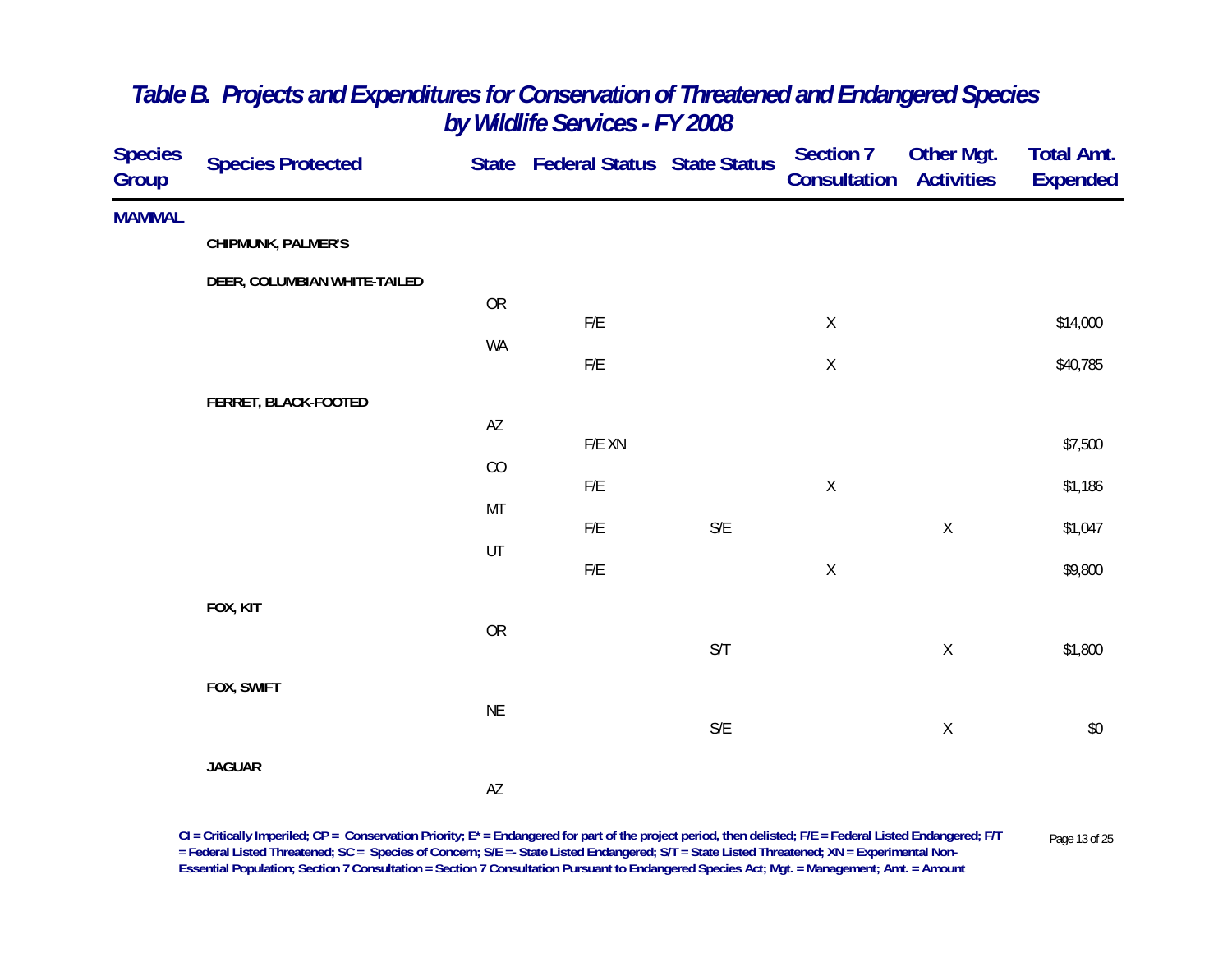| <b>Species</b><br>Group | <b>Species Protected</b>     |                        | State Federal Status State Status |                         | <b>Section 7</b><br>Consultation | Other Mgt.<br><b>Activities</b> | <b>Total Amt.</b><br><b>Expended</b> |
|-------------------------|------------------------------|------------------------|-----------------------------------|-------------------------|----------------------------------|---------------------------------|--------------------------------------|
| <b>MAMMAL</b>           |                              |                        |                                   |                         |                                  |                                 |                                      |
|                         | CHIPMUNK, PALMER'S           |                        |                                   |                         |                                  |                                 |                                      |
|                         | DEER, COLUMBIAN WHITE-TAILED |                        |                                   |                         |                                  |                                 |                                      |
|                         |                              | ${\sf OR}$             | F/E                               |                         | $\mathsf X$                      |                                 | \$14,000                             |
|                         |                              | WA                     |                                   |                         |                                  |                                 |                                      |
|                         |                              |                        | $\mathsf{F}/\mathsf{E}$           |                         | $\mathsf X$                      |                                 | \$40,785                             |
|                         | FERRET, BLACK-FOOTED         | $\mathsf{A}\mathsf{Z}$ |                                   |                         |                                  |                                 |                                      |
|                         |                              |                        | $F/E$ XN                          |                         |                                  |                                 | \$7,500                              |
|                         |                              | CO                     | $\mathsf{F}/\mathsf{E}$           |                         | $\mathsf X$                      |                                 | \$1,186                              |
|                         |                              | MT                     | F/E                               | $\mathsf{S}/\mathsf{E}$ |                                  |                                 |                                      |
|                         |                              | UT                     |                                   |                         |                                  | $\mathsf X$                     | \$1,047                              |
|                         |                              |                        | $\mathsf{F}/\mathsf{E}$           |                         | $\mathsf X$                      |                                 | \$9,800                              |
|                         | FOX, KIT                     |                        |                                   |                         |                                  |                                 |                                      |
|                         |                              | OR                     |                                   | $\mathsf{S}/\mathsf{T}$ |                                  | $\mathsf X$                     | \$1,800                              |
|                         | FOX, SWIFT                   |                        |                                   |                         |                                  |                                 |                                      |
|                         |                              | $\sf NE$               |                                   |                         |                                  |                                 |                                      |
|                         |                              |                        |                                   | $\mathsf{S}/\mathsf{E}$ |                                  | $\mathsf X$                     | $$0$$                                |
|                         | <b>JAGUAR</b>                |                        |                                   |                         |                                  |                                 |                                      |
|                         |                              | $\mathsf{A}\mathsf{Z}$ |                                   |                         |                                  |                                 |                                      |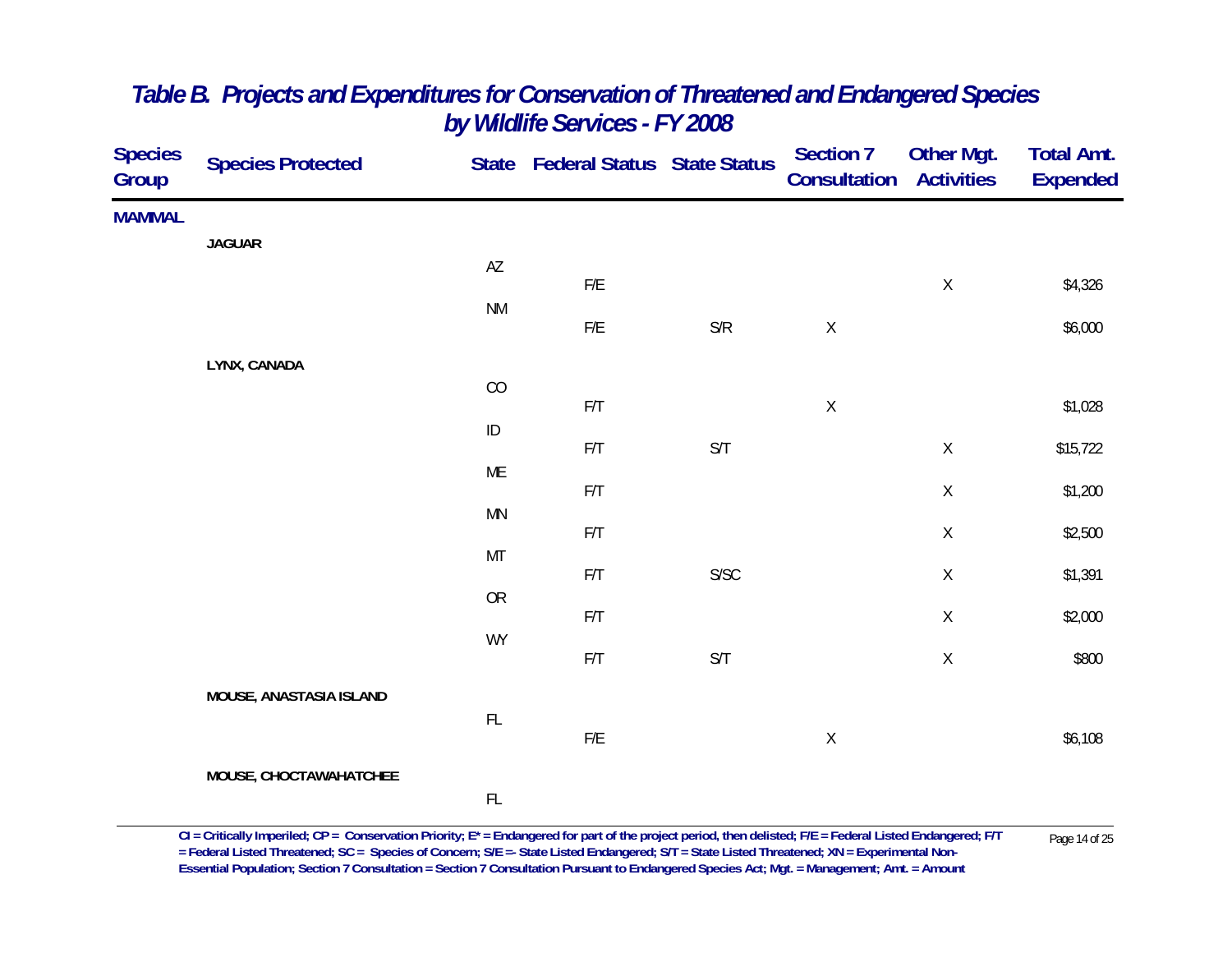| <b>Species</b><br>Group | <b>Species Protected</b> |                        | State Federal Status State Status |                                                                 | <b>Section 7</b><br><b>Consultation Activities</b> | Other Mgt.  | <b>Total Amt.</b><br><b>Expended</b> |
|-------------------------|--------------------------|------------------------|-----------------------------------|-----------------------------------------------------------------|----------------------------------------------------|-------------|--------------------------------------|
| <b>MAMMAL</b>           |                          |                        |                                   |                                                                 |                                                    |             |                                      |
|                         | <b>JAGUAR</b>            | $\mathsf{A}\mathsf{Z}$ | ${\sf F/E}$                       |                                                                 |                                                    | $\mathsf X$ | \$4,326                              |
|                         |                          | <b>NM</b>              | ${\sf F/E}$                       | $\ensuremath{\mathsf{S}}\xspace/\ensuremath{\mathsf{R}}\xspace$ | $\mathsf X$                                        |             | \$6,000                              |
|                         | LYNX, CANADA             |                        |                                   |                                                                 |                                                    |             |                                      |
|                         |                          | $\rm CO$               | F/T                               |                                                                 | $\mathsf X$                                        |             | \$1,028                              |
|                         |                          | $\sf ID$               | F/T                               | $\ensuremath{\mathsf{S}}/\ensuremath{\mathsf{T}}$               |                                                    | $\mathsf X$ | \$15,722                             |
|                         |                          | ME                     | F/T                               |                                                                 |                                                    | $\mathsf X$ | \$1,200                              |
|                         |                          | <b>MN</b>              | F/T                               |                                                                 |                                                    | $\mathsf X$ | \$2,500                              |
|                         |                          | MT                     | F/T                               | ${\sf S/SC}$                                                    |                                                    | $\mathsf X$ | \$1,391                              |
|                         |                          | <b>OR</b>              | F/T                               |                                                                 |                                                    | $\mathsf X$ | \$2,000                              |
|                         |                          | <b>WY</b>              | $\mathsf{F}/\mathsf{T}$           | $\ensuremath{\mathsf{S}}/\ensuremath{\mathsf{T}}$               |                                                    | $\mathsf X$ | \$800                                |
|                         | MOUSE, ANASTASIA ISLAND  |                        |                                   |                                                                 |                                                    |             |                                      |
|                         |                          | $\mathsf{FL}$          | F/E                               |                                                                 | $\mathsf X$                                        |             | \$6,108                              |
|                         | MOUSE, CHOCTAWAHATCHEE   |                        |                                   |                                                                 |                                                    |             |                                      |
|                         |                          | $\mathsf{FL}$          |                                   |                                                                 |                                                    |             |                                      |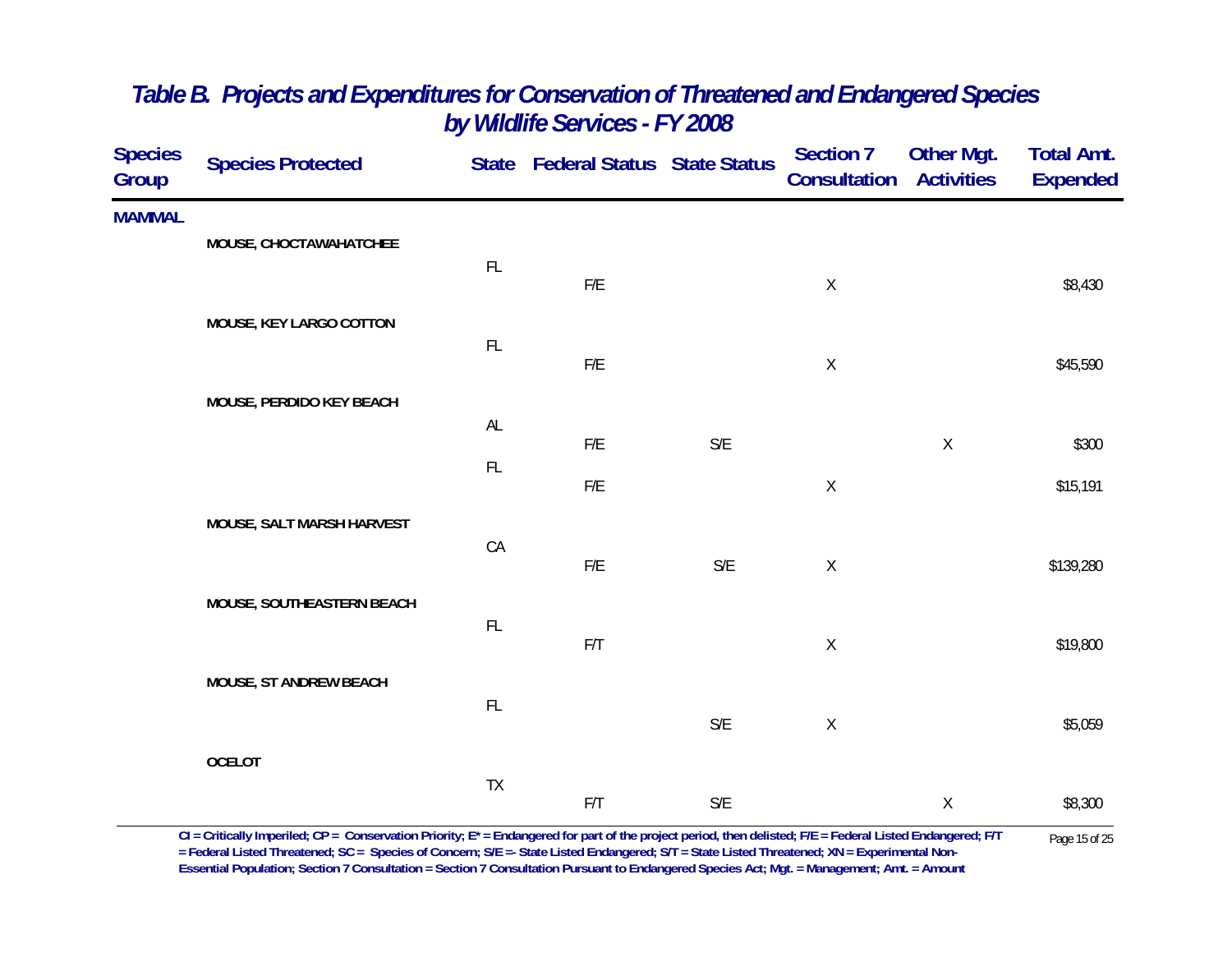| <b>Species</b><br>Group | <b>Species Protected</b>  |               | State Federal Status State Status |                         | <b>Section 7</b><br>Consultation | <b>Other Mgt.</b><br><b>Activities</b> | <b>Total Amt.</b><br><b>Expended</b> |
|-------------------------|---------------------------|---------------|-----------------------------------|-------------------------|----------------------------------|----------------------------------------|--------------------------------------|
| <b>MAMMAL</b>           | MOUSE, CHOCTAWAHATCHEE    |               |                                   |                         |                                  |                                        |                                      |
|                         |                           | FL            | $\mathsf{F}/\mathsf{E}$           |                         | $\mathsf X$                      |                                        | \$8,430                              |
|                         | MOUSE, KEY LARGO COTTON   |               |                                   |                         |                                  |                                        |                                      |
|                         |                           | FL            | ${\sf F/E}$                       |                         | $\mathsf X$                      |                                        | \$45,590                             |
|                         | MOUSE, PERDIDO KEY BEACH  | AL            |                                   |                         |                                  |                                        |                                      |
|                         |                           | $\mathsf{FL}$ | F/E                               | S/E                     |                                  | $\mathsf X$                            | \$300                                |
|                         |                           |               | $\mathsf{F}/\mathsf{E}$           |                         | $\mathsf X$                      |                                        | \$15,191                             |
|                         | MOUSE, SALT MARSH HARVEST | CA            |                                   |                         |                                  |                                        |                                      |
|                         | MOUSE, SOUTHEASTERN BEACH |               | ${\sf F/E}$                       | $\mathsf{S}/\mathsf{E}$ | $\mathsf X$                      |                                        | \$139,280                            |
|                         |                           | $\mathsf{FL}$ | F/T                               |                         | $\mathsf X$                      |                                        | \$19,800                             |
|                         | MOUSE, ST ANDREW BEACH    |               |                                   |                         |                                  |                                        |                                      |
|                         |                           | $\mathsf{FL}$ |                                   | $\mathsf{S}/\mathsf{E}$ | $\mathsf X$                      |                                        | \$5,059                              |
|                         | <b>OCELOT</b>             |               |                                   |                         |                                  |                                        |                                      |
|                         |                           | TX            | F/T                               | S/E                     |                                  | $\mathsf X$                            | \$8,300                              |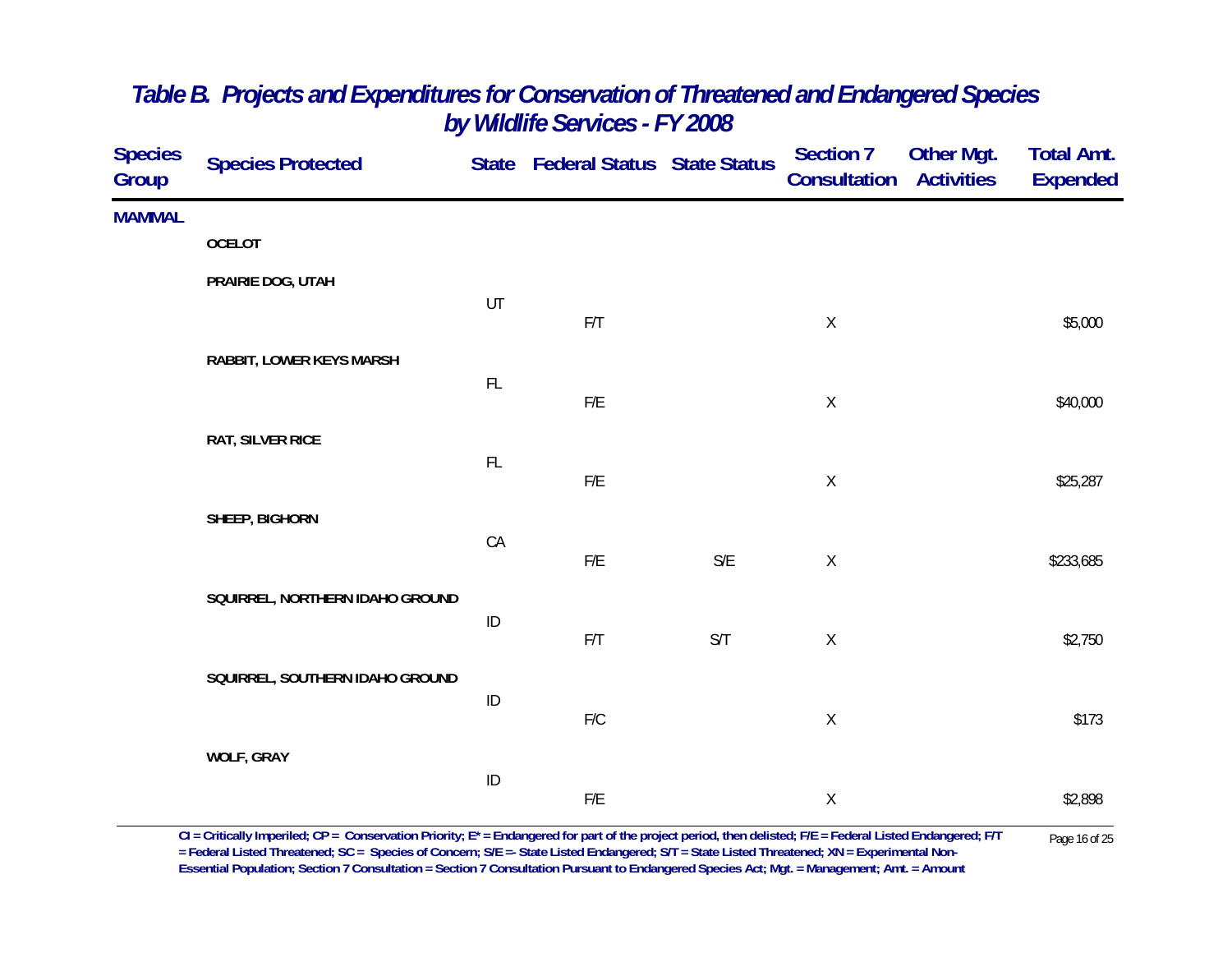| <b>Species</b><br>Group | <b>Species Protected</b>        |          | State Federal Status State Status |                         | <b>Section 7</b><br>Consultation | Other Mgt.<br><b>Activities</b> | <b>Total Amt.</b><br><b>Expended</b> |
|-------------------------|---------------------------------|----------|-----------------------------------|-------------------------|----------------------------------|---------------------------------|--------------------------------------|
| <b>MAMMAL</b>           |                                 |          |                                   |                         |                                  |                                 |                                      |
|                         | <b>OCELOT</b>                   |          |                                   |                         |                                  |                                 |                                      |
|                         | PRAIRIE DOG, UTAH               |          |                                   |                         |                                  |                                 |                                      |
|                         |                                 | UT       | F/T                               |                         | $\mathsf X$                      |                                 | \$5,000                              |
|                         | RABBIT, LOWER KEYS MARSH        |          |                                   |                         |                                  |                                 |                                      |
|                         |                                 | FL       | ${\sf F/E}$                       |                         | $\mathsf X$                      |                                 | \$40,000                             |
|                         | <b>RAT, SILVER RICE</b>         |          |                                   |                         |                                  |                                 |                                      |
|                         |                                 | FL       | F/E                               |                         | $\mathsf X$                      |                                 | \$25,287                             |
|                         |                                 |          |                                   |                         |                                  |                                 |                                      |
|                         | SHEEP, BIGHORN                  | CA       |                                   |                         |                                  |                                 |                                      |
|                         |                                 |          | F/E                               | $\mathsf{S}/\mathsf{E}$ | $\mathsf X$                      |                                 | \$233,685                            |
|                         | SQUIRREL, NORTHERN IDAHO GROUND |          |                                   |                         |                                  |                                 |                                      |
|                         |                                 | ID       | F/T                               | S/T                     | $\mathsf X$                      |                                 | \$2,750                              |
|                         | SQUIRREL, SOUTHERN IDAHO GROUND |          |                                   |                         |                                  |                                 |                                      |
|                         |                                 | $\sf ID$ |                                   |                         |                                  |                                 |                                      |
|                         |                                 |          | ${\sf F/C}$                       |                         | $\mathsf X$                      |                                 | \$173                                |
|                         | <b>WOLF, GRAY</b>               | $\sf ID$ |                                   |                         |                                  |                                 |                                      |
|                         |                                 |          | $\mathsf{F}/\mathsf{E}$           |                         | $\mathsf X$                      |                                 | \$2,898                              |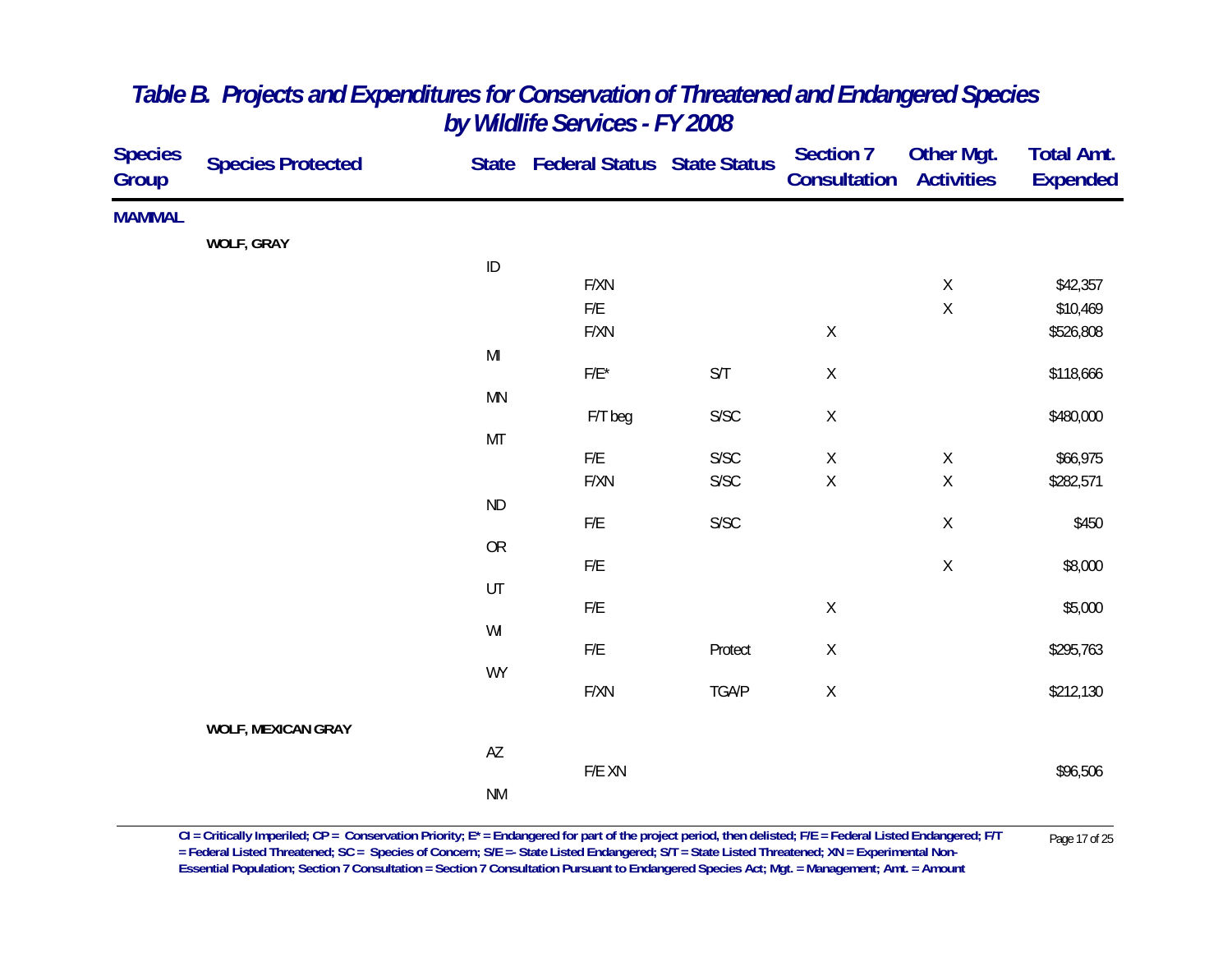| <b>Species</b><br>Group | <b>Species Protected</b>  |                                                                                                             | State Federal Status State Status |                         | <b>Section 7</b><br><b>Consultation</b> | Other Mgt.<br><b>Activities</b> | <b>Total Amt.</b><br><b>Expended</b> |
|-------------------------|---------------------------|-------------------------------------------------------------------------------------------------------------|-----------------------------------|-------------------------|-----------------------------------------|---------------------------------|--------------------------------------|
| <b>MAMMAL</b>           |                           |                                                                                                             |                                   |                         |                                         |                                 |                                      |
|                         | <b>WOLF, GRAY</b>         |                                                                                                             |                                   |                         |                                         |                                 |                                      |
|                         |                           | $\sf ID$                                                                                                    |                                   |                         |                                         |                                 |                                      |
|                         |                           |                                                                                                             | F/XN<br>F/E                       |                         |                                         | $\mathsf X$<br>$\mathsf X$      | \$42,357<br>\$10,469                 |
|                         |                           |                                                                                                             | F/XN                              |                         | $\mathsf X$                             |                                 | \$526,808                            |
|                         |                           | $\mathsf{MI}% _{T}=\mathsf{M}_{T}\!\left( a,b\right) ,\ \mathsf{M}_{T}=\mathsf{M}_{T}\!\left( a,b\right) ,$ |                                   |                         |                                         |                                 |                                      |
|                         |                           |                                                                                                             | $F/E^*$                           | $\mathsf{S}/\mathsf{T}$ | $\mathsf X$                             |                                 | \$118,666                            |
|                         |                           | <b>MN</b>                                                                                                   |                                   |                         |                                         |                                 |                                      |
|                         |                           |                                                                                                             | F/T beg                           | ${\sf S/SC}$            | $\mathsf X$                             |                                 | \$480,000                            |
|                         |                           | MT                                                                                                          | ${\sf F/E}$                       | ${\sf S/SC}$            | $\mathsf X$                             | $\mathsf X$                     | \$66,975                             |
|                         |                           |                                                                                                             | F/XN                              | ${\sf S/SC}$            | $\mathsf X$                             | $\mathsf X$                     | \$282,571                            |
|                         |                           | $\sf ND$                                                                                                    |                                   |                         |                                         |                                 |                                      |
|                         |                           |                                                                                                             | ${\sf F/E}$                       | ${\sf S/SC}$            |                                         | $\mathsf X$                     | \$450                                |
|                         |                           | ${\sf OR}$                                                                                                  | F/E                               |                         |                                         | $\mathsf X$                     | \$8,000                              |
|                         |                           | UT                                                                                                          |                                   |                         |                                         |                                 |                                      |
|                         |                           |                                                                                                             | F/E                               |                         | $\mathsf X$                             |                                 | \$5,000                              |
|                         |                           | WI                                                                                                          |                                   |                         |                                         |                                 |                                      |
|                         |                           |                                                                                                             | ${\sf F/E}$                       | Protect                 | $\mathsf X$                             |                                 | \$295,763                            |
|                         |                           | <b>WY</b>                                                                                                   | F/XN                              | TGA/P                   | $\mathsf X$                             |                                 | \$212,130                            |
|                         | <b>WOLF, MEXICAN GRAY</b> |                                                                                                             |                                   |                         |                                         |                                 |                                      |
|                         |                           | $\mathsf{A}\mathsf{Z}$                                                                                      |                                   |                         |                                         |                                 |                                      |
|                         |                           |                                                                                                             | F/E XN                            |                         |                                         |                                 | \$96,506                             |
|                         |                           | $\mathsf{N}\mathsf{M}$                                                                                      |                                   |                         |                                         |                                 |                                      |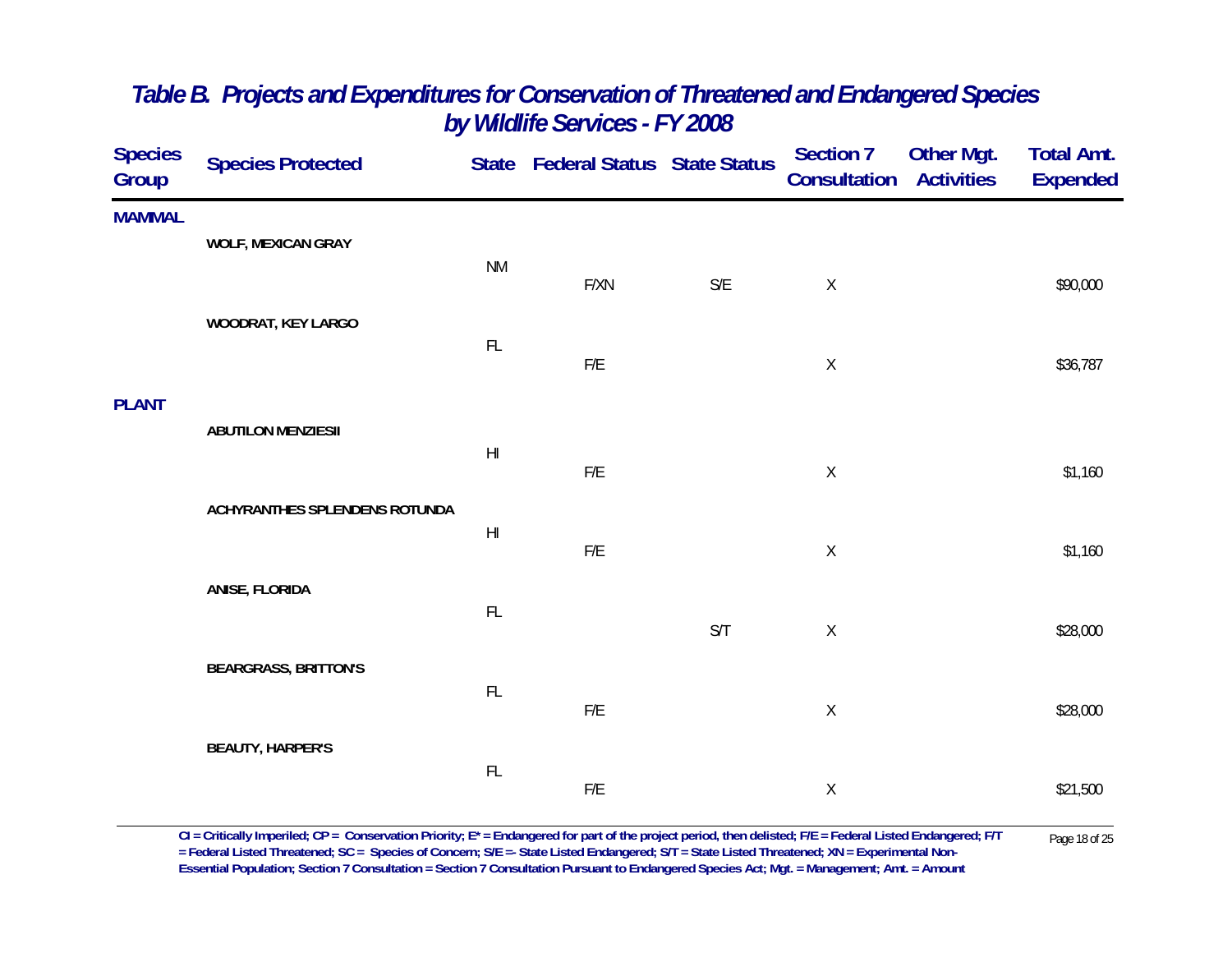| <b>Species Protected</b>      |                                                        |                                                                                 |                         | <b>Section 7</b>                  | <b>Other Mgt.</b><br><b>Activities</b> | <b>Total Amt.</b><br><b>Expended</b> |
|-------------------------------|--------------------------------------------------------|---------------------------------------------------------------------------------|-------------------------|-----------------------------------|----------------------------------------|--------------------------------------|
|                               |                                                        |                                                                                 |                         |                                   |                                        |                                      |
|                               |                                                        |                                                                                 |                         |                                   |                                        |                                      |
|                               |                                                        | F/XN                                                                            | $\mathsf{S}/\mathsf{E}$ | $\mathsf X$                       |                                        | \$90,000                             |
| WOODRAT, KEY LARGO            |                                                        |                                                                                 |                         |                                   |                                        |                                      |
|                               |                                                        | F/E                                                                             |                         | $\mathsf X$                       |                                        | \$36,787                             |
|                               |                                                        |                                                                                 |                         |                                   |                                        |                                      |
|                               |                                                        |                                                                                 |                         |                                   |                                        |                                      |
|                               |                                                        | F/E                                                                             |                         | $\mathsf X$                       |                                        | \$1,160                              |
| ACHYRANTHES SPLENDENS ROTUNDA |                                                        |                                                                                 |                         |                                   |                                        |                                      |
|                               |                                                        | F/E                                                                             |                         | $\mathsf X$                       |                                        | \$1,160                              |
| ANISE, FLORIDA                |                                                        |                                                                                 |                         |                                   |                                        |                                      |
|                               |                                                        |                                                                                 | S/T                     | $\mathsf X$                       |                                        | \$28,000                             |
| <b>BEARGRASS, BRITTON'S</b>   |                                                        |                                                                                 |                         |                                   |                                        |                                      |
|                               |                                                        | F/E                                                                             |                         | $\mathsf X$                       |                                        | \$28,000                             |
| <b>BEAUTY, HARPER'S</b>       |                                                        |                                                                                 |                         |                                   |                                        |                                      |
|                               | FL                                                     | F/E                                                                             |                         | $\mathsf X$                       |                                        | \$21,500                             |
|                               | <b>WOLF, MEXICAN GRAY</b><br><b>ABUTILON MENZIESII</b> | <b>NM</b><br>FL<br>$\mathsf{H}\mathsf{I}$<br>$\mathsf{H}\mathsf{I}$<br>FL<br>FL |                         | State Federal Status State Status |                                        | Consultation                         |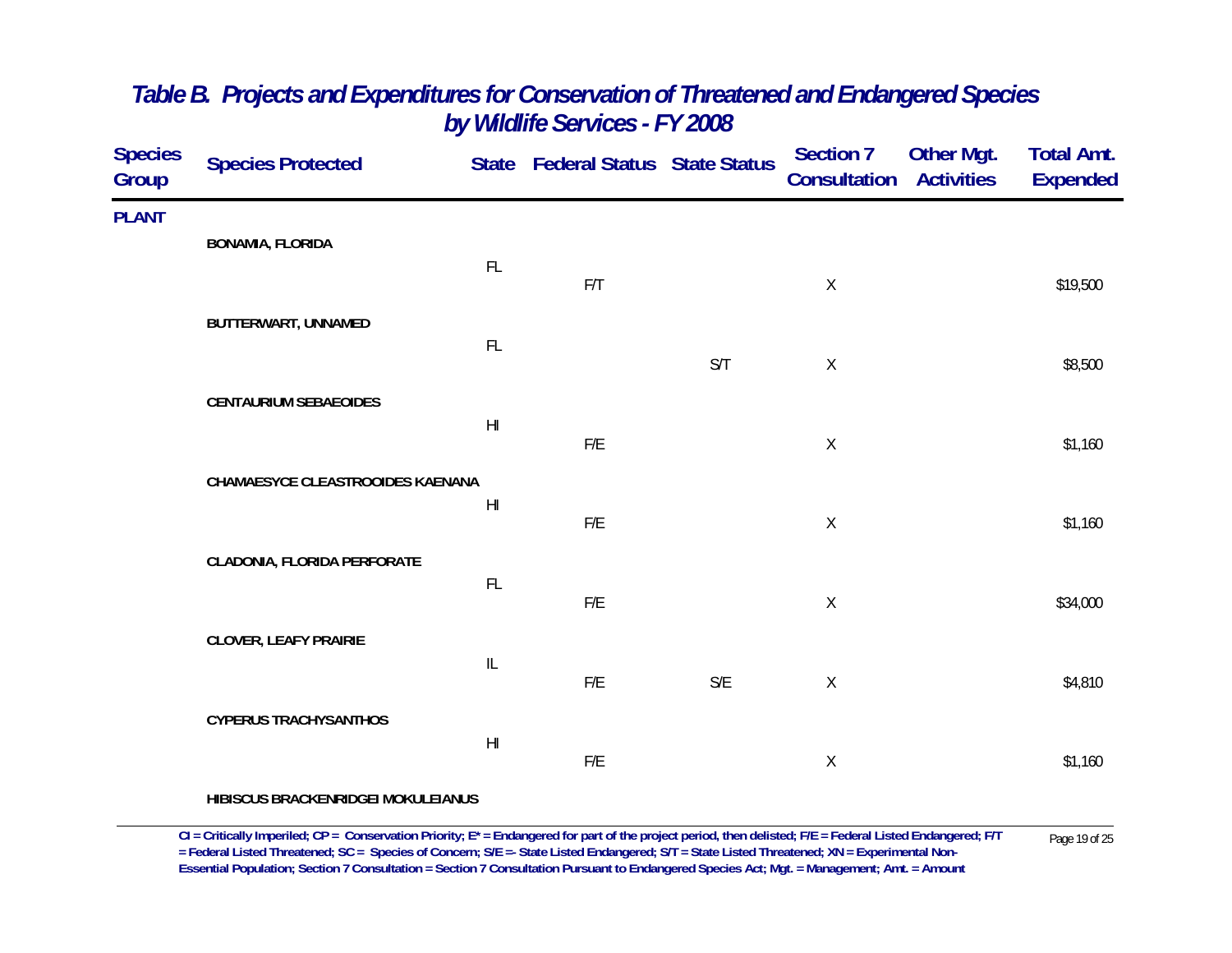| <b>Species</b><br><b>Group</b> | <b>Species Protected</b>         |                                   | State Federal Status State Status |                         | Section 7<br><b>Consultation Activities</b> | <b>Other Mgt.</b> | <b>Total Amt.</b><br><b>Expended</b> |
|--------------------------------|----------------------------------|-----------------------------------|-----------------------------------|-------------------------|---------------------------------------------|-------------------|--------------------------------------|
| <b>PLANT</b>                   | <b>BONAMIA, FLORIDA</b>          |                                   |                                   |                         |                                             |                   |                                      |
|                                |                                  | FL                                | F/T                               |                         | $\mathsf X$                                 |                   | \$19,500                             |
|                                | BUTTERWART, UNNAMED              | FL                                |                                   |                         |                                             |                   |                                      |
|                                |                                  |                                   |                                   | S/T                     | $\mathsf{X}$                                |                   | \$8,500                              |
|                                | <b>CENTAURIUM SEBAEOIDES</b>     | H <sub>l</sub>                    | F/E                               |                         | $\mathsf X$                                 |                   | \$1,160                              |
|                                | CHAMAESYCE CLEASTROOIDES KAENANA |                                   |                                   |                         |                                             |                   |                                      |
|                                |                                  | $\mathsf{H}\mathsf{I}$            | F/E                               |                         | $\mathsf X$                                 |                   | \$1,160                              |
|                                | CLADONIA, FLORIDA PERFORATE      | $\mathsf{FL}$                     |                                   |                         |                                             |                   |                                      |
|                                | <b>CLOVER, LEAFY PRAIRIE</b>     |                                   | ${\sf F/E}$                       |                         | $\mathsf X$                                 |                   | \$34,000                             |
|                                |                                  | $\ensuremath{\mathsf{IL}}\xspace$ | ${\sf F/E}$                       | $\mathsf{S}/\mathsf{E}$ | $\mathsf X$                                 |                   | \$4,810                              |
|                                | <b>CYPERUS TRACHYSANTHOS</b>     | $\mathsf{H}\mathsf{I}$            |                                   |                         |                                             |                   |                                      |
|                                |                                  |                                   | F/E                               |                         | $\mathsf X$                                 |                   | \$1,160                              |

**HIBISCUS BRACKENRIDGEI MOKULEIANUS**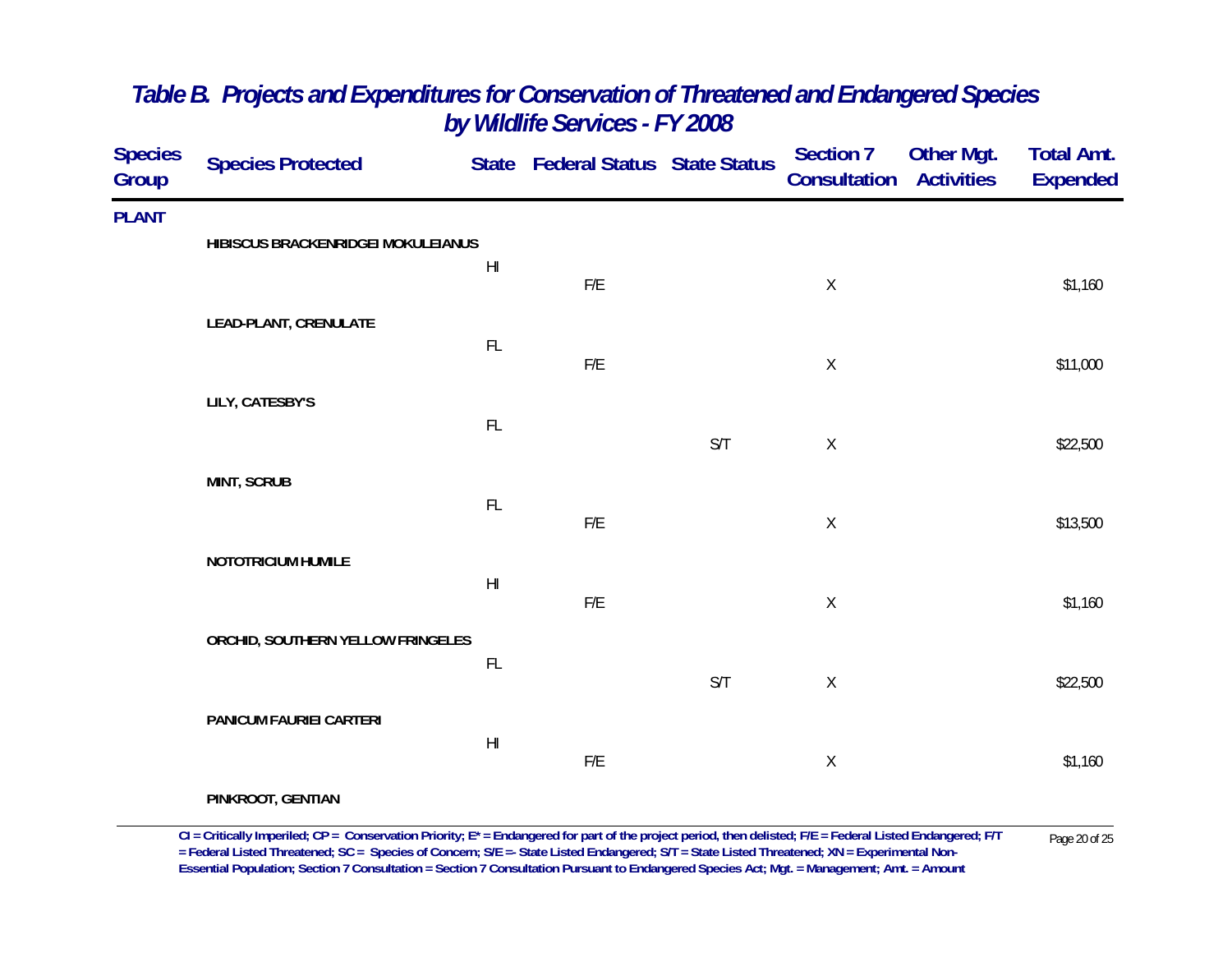| <b>Species</b><br>Group | <b>Species Protected</b>           |                        | State Federal Status State Status |     | <b>Section 7</b><br><b>Consultation Activities</b> | <b>Other Mgt.</b> | <b>Total Amt.</b><br><b>Expended</b> |
|-------------------------|------------------------------------|------------------------|-----------------------------------|-----|----------------------------------------------------|-------------------|--------------------------------------|
| <b>PLANT</b>            | HIBISCUS BRACKENRIDGEI MOKULEIANUS |                        |                                   |     |                                                    |                   |                                      |
|                         |                                    | $\mathsf{H}\mathsf{I}$ | F/E                               |     | $\mathsf X$                                        |                   | \$1,160                              |
|                         | LEAD-PLANT, CRENULATE              | $\mathsf{FL}$          |                                   |     |                                                    |                   |                                      |
|                         | LILY, CATESBY'S                    |                        | ${\sf F/E}$                       |     | $\mathsf X$                                        |                   | \$11,000                             |
|                         |                                    | $\mathsf{FL}$          |                                   | S/T | $\mathsf X$                                        |                   | \$22,500                             |
|                         | <b>MINT, SCRUB</b>                 |                        |                                   |     |                                                    |                   |                                      |
|                         |                                    | $\mathsf{FL}$          | $\mathsf{F}/\mathsf{E}$           |     | $\mathsf X$                                        |                   | \$13,500                             |
|                         | NOTOTRICIUM HUMILE                 | $\mathsf{H}\mathsf{I}$ | ${\sf F/E}$                       |     | $\mathsf X$                                        |                   | \$1,160                              |
|                         | ORCHID, SOUTHERN YELLOW FRINGELES  |                        |                                   |     |                                                    |                   |                                      |
|                         |                                    | $\mathsf{FL}$          |                                   | S/T | $\mathsf X$                                        |                   | \$22,500                             |
|                         | PANICUM FAURIEI CARTERI            | $\mathsf{H}\mathsf{I}$ |                                   |     |                                                    |                   |                                      |
|                         | PINKROOT, GENTIAN                  |                        | ${\sf F/E}$                       |     | $\mathsf X$                                        |                   | \$1,160                              |

CI = Critically Imperiled; CP = Conservation Priority; E\* = Endangered for part of the project period, then delisted; F/E = Federal Listed Endangered; F/T Page 20 of 25<br>= Federal Listed Threatened; SC = Species of Concern **Essential Population; Section 7 Consultation = Section 7 Consultation Pursuant to Endangered Species Act; Mgt. = Management; Amt. = Amount**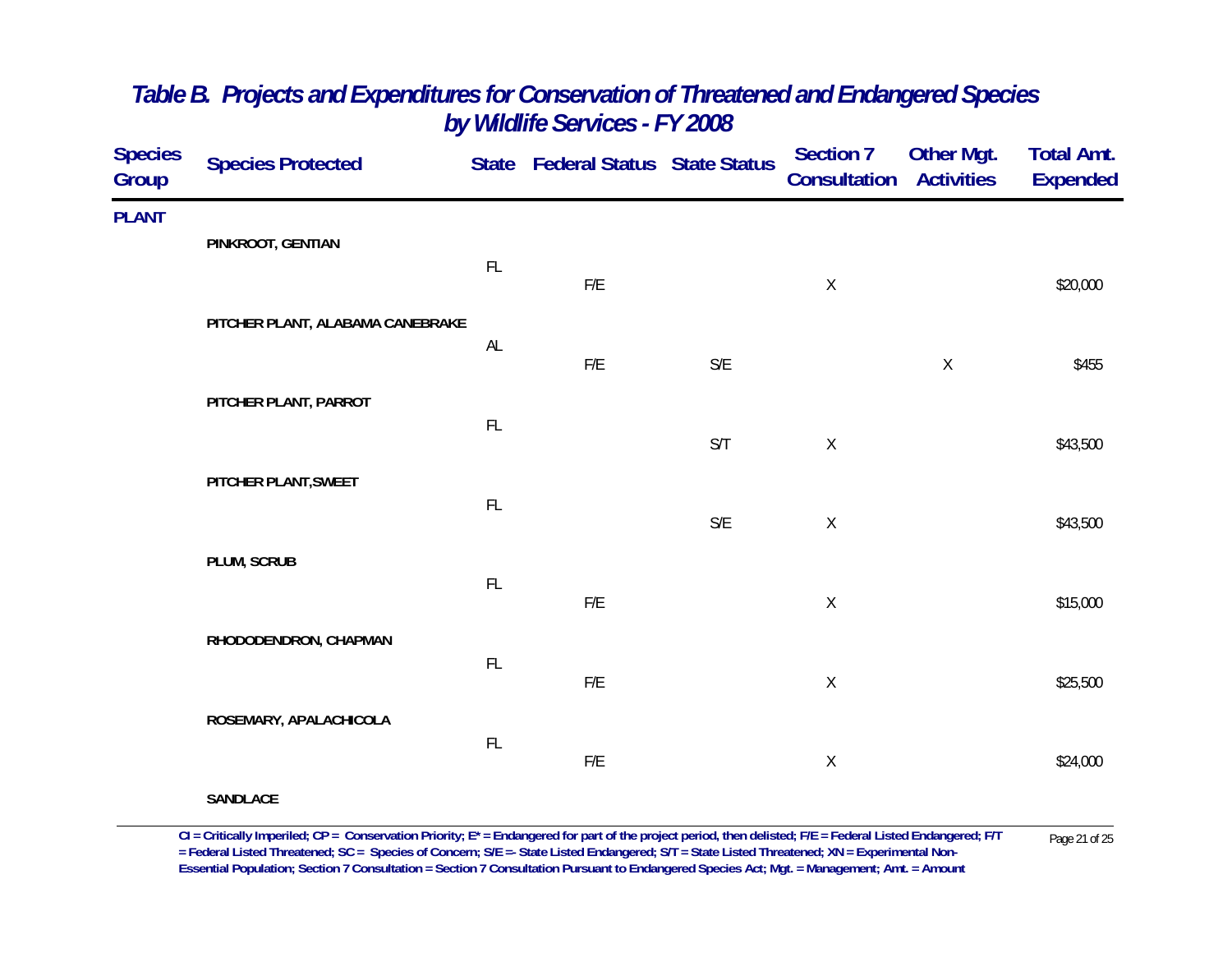| <b>Species</b><br>Group | <b>Species Protected</b>         |               | State Federal Status State Status |                         | <b>Section 7</b><br>Consultation | <b>Other Mgt.</b><br><b>Activities</b> | <b>Total Amt.</b><br><b>Expended</b> |
|-------------------------|----------------------------------|---------------|-----------------------------------|-------------------------|----------------------------------|----------------------------------------|--------------------------------------|
| <b>PLANT</b>            |                                  |               |                                   |                         |                                  |                                        |                                      |
|                         | PINKROOT, GENTIAN                | FL            | F/E                               |                         | $\mathsf X$                      |                                        | \$20,000                             |
|                         | PITCHER PLANT, ALABAMA CANEBRAKE | $\mathsf{AL}$ |                                   |                         |                                  |                                        |                                      |
|                         | PITCHER PLANT, PARROT            |               | $\mathsf{F}/\mathsf{E}$           | S/E                     |                                  | $\mathsf X$                            | \$455                                |
|                         |                                  | FL            |                                   | S/T                     | $\mathsf X$                      |                                        | \$43,500                             |
|                         | PITCHER PLANT, SWEET             | $\mathsf{FL}$ |                                   |                         |                                  |                                        |                                      |
|                         | PLUM, SCRUB                      |               |                                   | $\mathsf{S}/\mathsf{E}$ | $\mathsf X$                      |                                        | \$43,500                             |
|                         |                                  | $\mathsf{FL}$ | $\mathsf{F}/\mathsf{E}$           |                         | $\mathsf X$                      |                                        | \$15,000                             |
|                         | RHODODENDRON, CHAPMAN            | $\mathsf{FL}$ |                                   |                         |                                  |                                        |                                      |
|                         | ROSEMARY, APALACHICOLA           |               | F/E                               |                         | $\mathsf X$                      |                                        | \$25,500                             |
|                         |                                  | $\mathsf{FL}$ | $\mathsf{F}/\mathsf{E}$           |                         | $\mathsf X$                      |                                        | \$24,000                             |
|                         | <b>SANDLACE</b>                  |               |                                   |                         |                                  |                                        |                                      |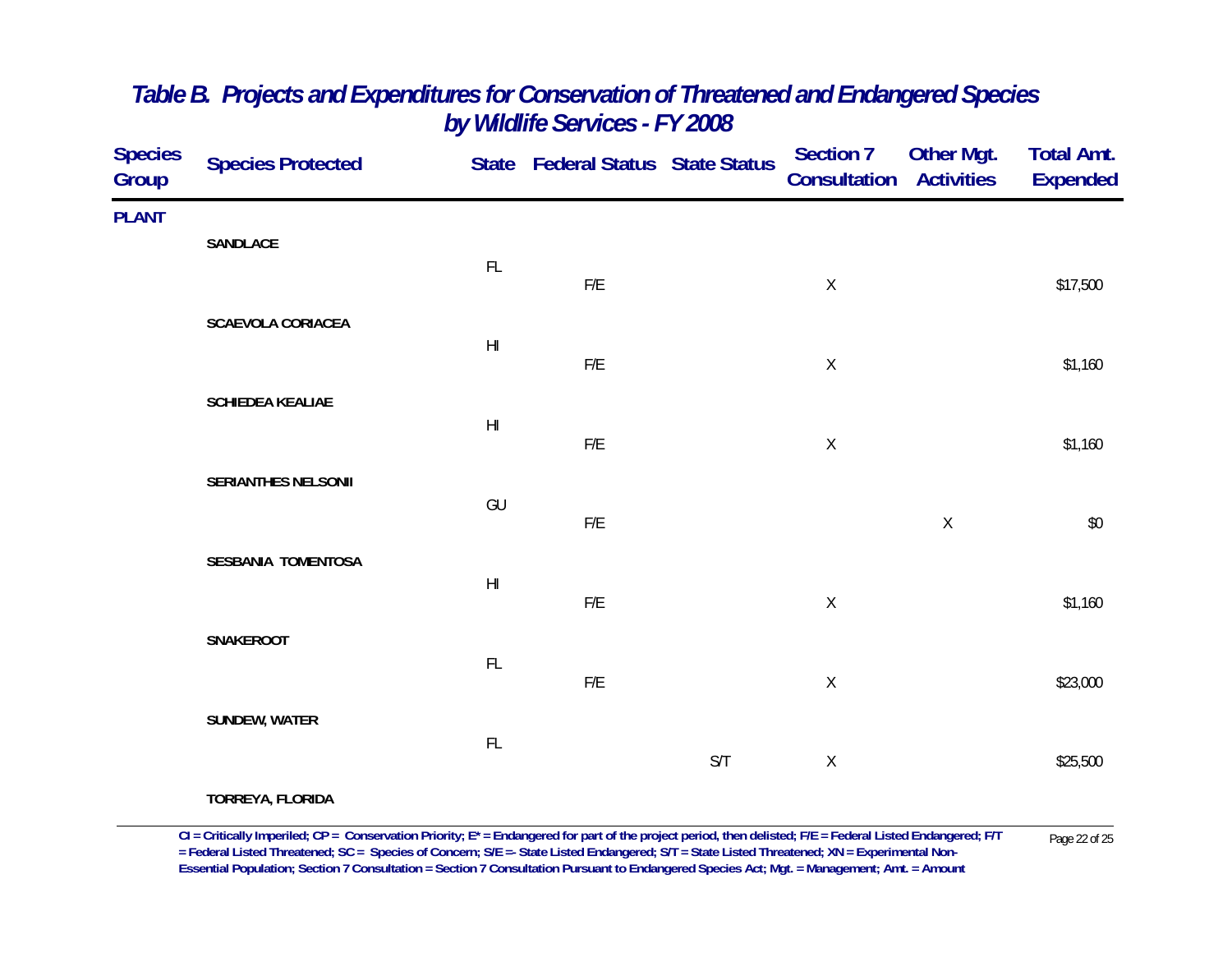| Species<br>Group | <b>Species Protected</b> |                        | State Federal Status State Status |     | Section 7<br><b>Consultation Activities</b> | <b>Other Mgt.</b> | <b>Total Amt.</b><br><b>Expended</b> |
|------------------|--------------------------|------------------------|-----------------------------------|-----|---------------------------------------------|-------------------|--------------------------------------|
| <b>PLANT</b>     |                          |                        |                                   |     |                                             |                   |                                      |
|                  | SANDLACE                 | FL                     | F/E                               |     | $\mathsf X$                                 |                   | \$17,500                             |
|                  | <b>SCAEVOLA CORIACEA</b> | $\mathsf{H}\mathsf{I}$ | F/E                               |     | $\mathsf X$                                 |                   | \$1,160                              |
|                  | SCHIEDEA KEALIAE         |                        |                                   |     |                                             |                   |                                      |
|                  |                          | $\mathsf{H}\mathsf{I}$ | F/E                               |     | $\mathsf X$                                 |                   | \$1,160                              |
|                  | SERIANTHES NELSONII      | GU                     |                                   |     |                                             |                   |                                      |
|                  |                          |                        | F/E                               |     |                                             | $\mathsf X$       | $$0$$                                |
|                  | SESBANIA TOMENTOSA       | $\mathsf{H}\mathsf{I}$ | ${\sf F/E}$                       |     | $\mathsf X$                                 |                   | \$1,160                              |
|                  | SNAKEROOT                |                        |                                   |     |                                             |                   |                                      |
|                  |                          | FL                     | ${\sf F/E}$                       |     | $\mathsf X$                                 |                   | \$23,000                             |
|                  | SUNDEW, WATER            | FL                     |                                   |     |                                             |                   |                                      |
|                  | TODDEVA ELODIDA          |                        |                                   | S/T | $\mathsf X$                                 |                   | \$25,500                             |

**TORREYA, FLORIDA**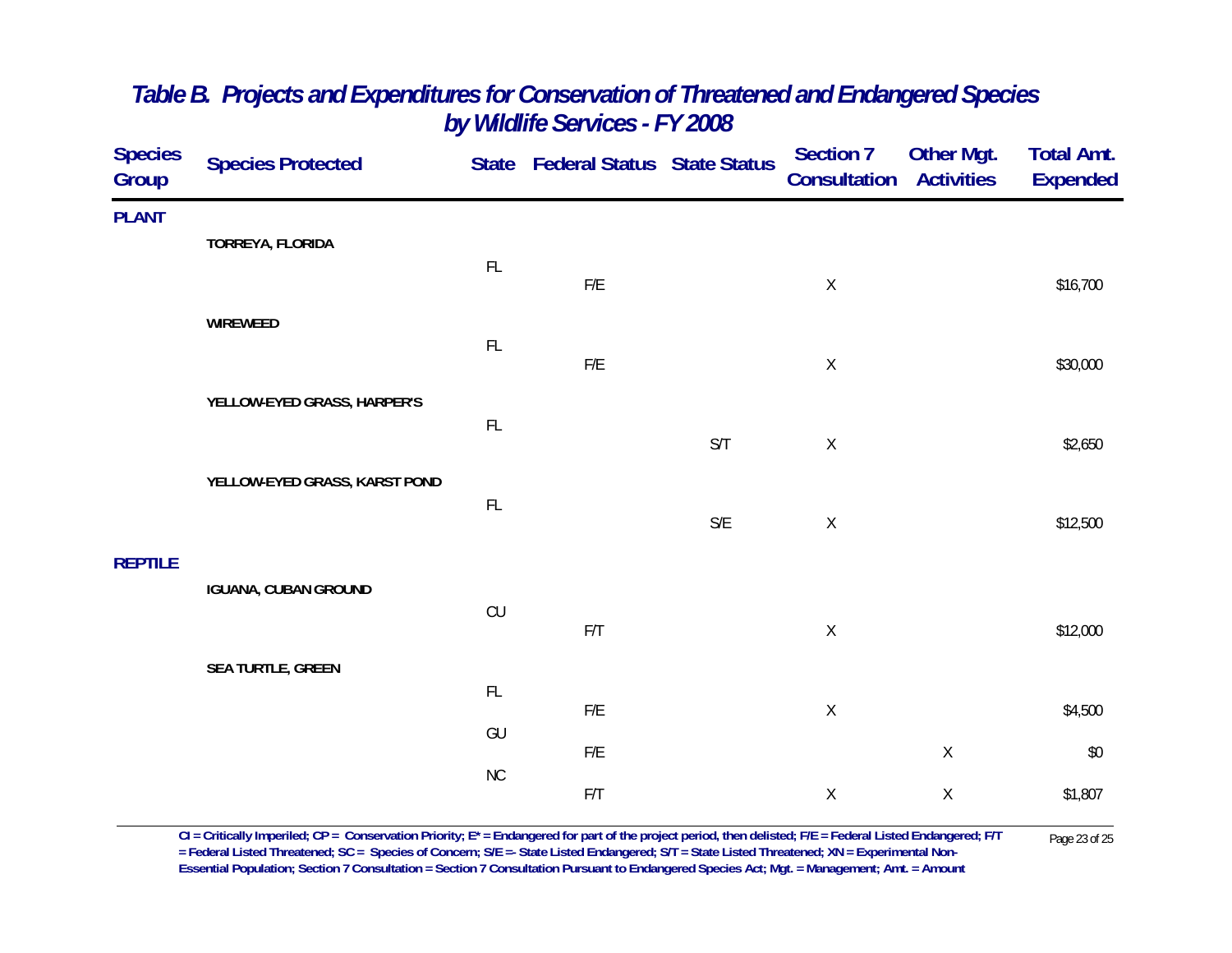| <b>Species</b><br>Group | <b>Species Protected</b>      |               | State Federal Status State Status |                         | Section 7<br>Consultation | <b>Other Mgt.</b><br><b>Activities</b> | <b>Total Amt.</b><br><b>Expended</b> |
|-------------------------|-------------------------------|---------------|-----------------------------------|-------------------------|---------------------------|----------------------------------------|--------------------------------------|
| <b>PLANT</b>            | TORREYA, FLORIDA              |               |                                   |                         |                           |                                        |                                      |
|                         |                               | $\mathsf{FL}$ | F/E                               |                         | $\mathsf X$               |                                        | \$16,700                             |
|                         | WIREWEED                      | $\mathsf{FL}$ |                                   |                         |                           |                                        |                                      |
|                         | YELLOW-EYED GRASS, HARPER'S   |               | ${\sf F/E}$                       |                         | $\mathsf X$               |                                        | \$30,000                             |
|                         |                               | $\mathsf{FL}$ |                                   | S/T                     | $\mathsf X$               |                                        | \$2,650                              |
|                         | YELLOW-EYED GRASS, KARST POND | FL            |                                   |                         |                           |                                        |                                      |
|                         |                               |               |                                   | $\mathsf{S}/\mathsf{E}$ | $\mathsf X$               |                                        | \$12,500                             |
| <b>REPTILE</b>          | <b>IGUANA, CUBAN GROUND</b>   |               |                                   |                         |                           |                                        |                                      |
|                         |                               | CU            | F/T                               |                         | $\mathsf X$               |                                        | \$12,000                             |
|                         | <b>SEA TURTLE, GREEN</b>      | FL            |                                   |                         |                           |                                        |                                      |
|                         |                               | GU            | F/E<br>F/E                        |                         | $\mathsf X$               | $\mathsf X$                            | \$4,500<br>\$0                       |
|                         |                               | ${\sf NC}$    | F/T                               |                         | $\mathsf X$               | $\mathsf X$                            | \$1,807                              |
|                         |                               |               |                                   |                         |                           |                                        |                                      |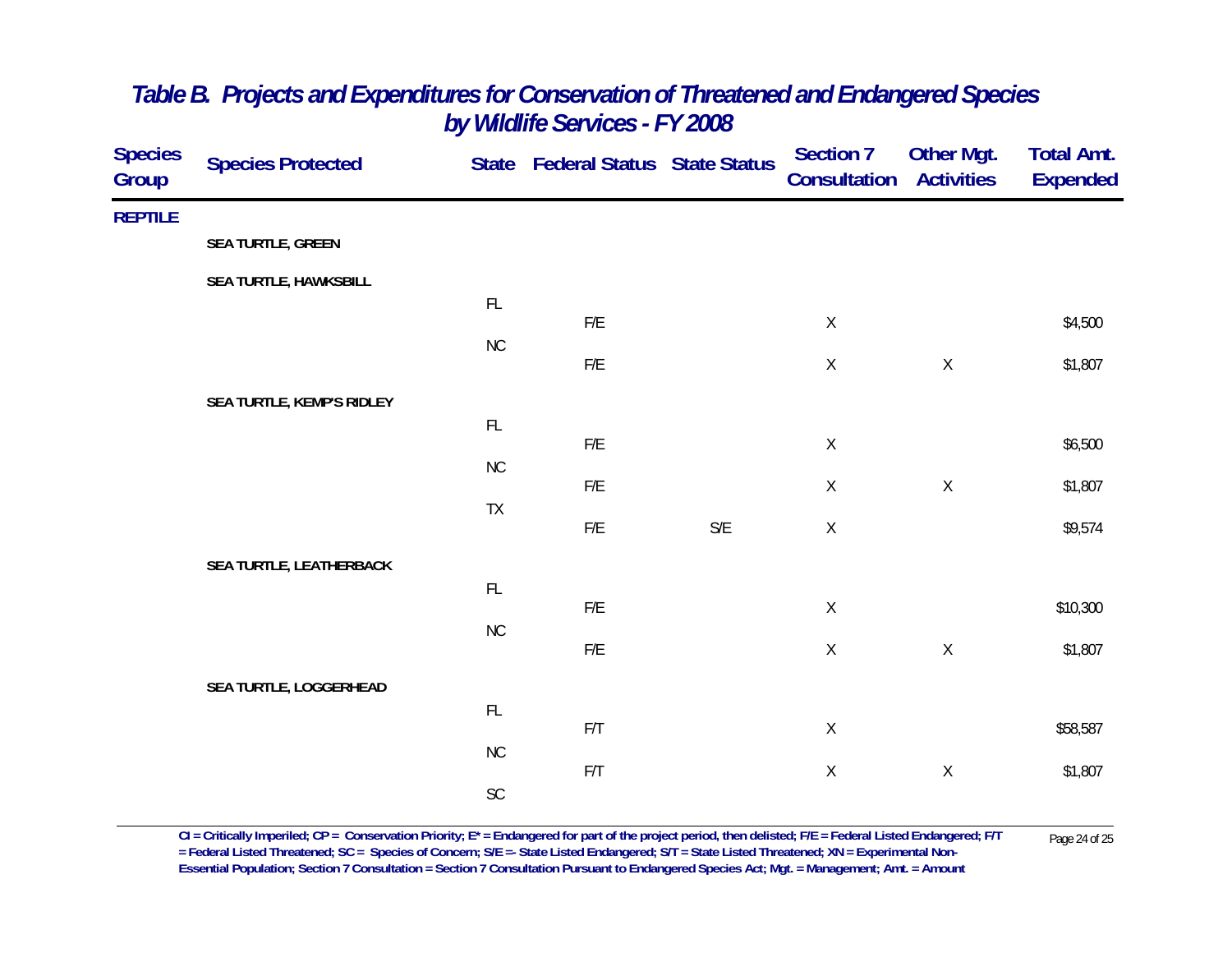| <b>Species</b><br><b>Group</b> | <b>Species Protected</b>  |               | State Federal Status State Status |                         | <b>Section 7</b><br>Consultation | Other Mgt.<br><b>Activities</b> | <b>Total Amt.</b><br><b>Expended</b> |
|--------------------------------|---------------------------|---------------|-----------------------------------|-------------------------|----------------------------------|---------------------------------|--------------------------------------|
| <b>REPTILE</b>                 |                           |               |                                   |                         |                                  |                                 |                                      |
|                                | SEA TURTLE, GREEN         |               |                                   |                         |                                  |                                 |                                      |
|                                | SEA TURTLE, HAWKSBILL     |               |                                   |                         |                                  |                                 |                                      |
|                                |                           | FL            | F/E                               |                         | $\mathsf X$                      |                                 | \$4,500                              |
|                                |                           | NC            |                                   |                         |                                  |                                 |                                      |
|                                |                           |               | F/E                               |                         | $\mathsf X$                      | $\mathsf X$                     | \$1,807                              |
|                                | SEA TURTLE, KEMP'S RIDLEY | $\mathsf{FL}$ |                                   |                         |                                  |                                 |                                      |
|                                |                           |               | F/E                               |                         | $\mathsf X$                      |                                 | \$6,500                              |
|                                |                           | <b>NC</b>     | F/E                               |                         | $\mathsf X$                      | $\mathsf X$                     | \$1,807                              |
|                                |                           | TX            |                                   |                         |                                  |                                 |                                      |
|                                |                           |               | F/E                               | $\mathsf{S}/\mathsf{E}$ | $\mathsf X$                      |                                 | \$9,574                              |
|                                | SEA TURTLE, LEATHERBACK   | $\mathsf{FL}$ |                                   |                         |                                  |                                 |                                      |
|                                |                           |               | F/E                               |                         | $\mathsf X$                      |                                 | \$10,300                             |
|                                |                           | NC            | F/E                               |                         | $\mathsf X$                      | $\mathsf X$                     | \$1,807                              |
|                                | SEA TURTLE, LOGGERHEAD    |               |                                   |                         |                                  |                                 |                                      |
|                                |                           | FL            |                                   |                         |                                  |                                 |                                      |
|                                |                           | NC            | F/T                               |                         | $\mathsf X$                      |                                 | \$58,587                             |
|                                |                           |               | F/T                               |                         | $\mathsf X$                      | $\mathsf X$                     | \$1,807                              |
|                                |                           | SC            |                                   |                         |                                  |                                 |                                      |